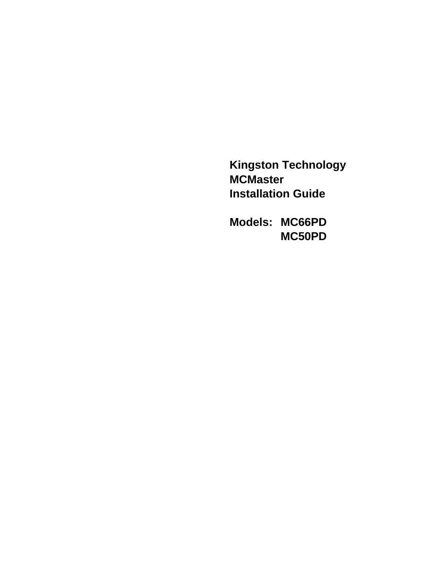**Kingston Technology MCMaster Installation Guide**

**Models: MC66PD MC50PD**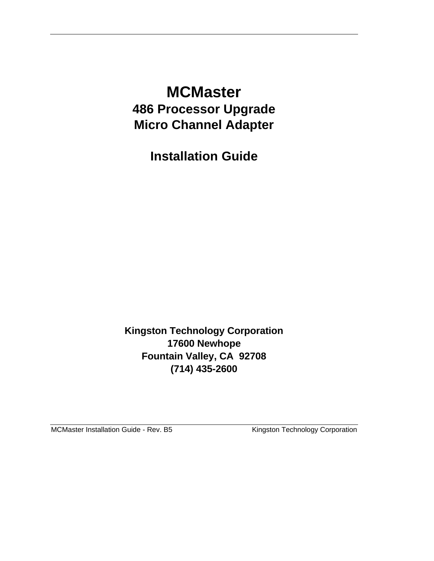## **MCMaster 486 Processor Upgrade Micro Channel Adapter**

**Installation Guide**

**Kingston Technology Corporation 17600 Newhope Fountain Valley, CA 92708 (714) 435-2600**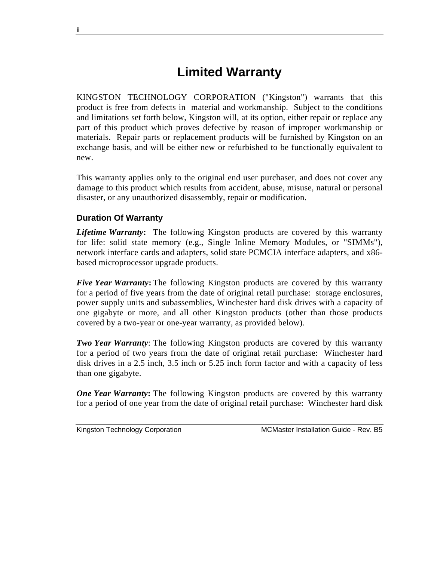## **Limited Warranty**

KINGSTON TECHNOLOGY CORPORATION ("Kingston") warrants that this product is free from defects in material and workmanship. Subject to the conditions and limitations set forth below, Kingston will, at its option, either repair or replace any part of this product which proves defective by reason of improper workmanship or materials. Repair parts or replacement products will be furnished by Kingston on an exchange basis, and will be either new or refurbished to be functionally equivalent to new.

This warranty applies only to the original end user purchaser, and does not cover any damage to this product which results from accident, abuse, misuse, natural or personal disaster, or any unauthorized disassembly, repair or modification.

#### **Duration Of Warranty**

*Lifetime Warranty***:** The following Kingston products are covered by this warranty for life: solid state memory (e.g., Single Inline Memory Modules, or "SIMMs"), network interface cards and adapters, solid state PCMCIA interface adapters, and x86 based microprocessor upgrade products.

*Five Year Warranty***:** The following Kingston products are covered by this warranty for a period of five years from the date of original retail purchase: storage enclosures, power supply units and subassemblies, Winchester hard disk drives with a capacity of one gigabyte or more, and all other Kingston products (other than those products covered by a two-year or one-year warranty, as provided below).

*Two Year Warranty*: The following Kingston products are covered by this warranty for a period of two years from the date of original retail purchase: Winchester hard disk drives in a 2.5 inch, 3.5 inch or 5.25 inch form factor and with a capacity of less than one gigabyte.

*One Year Warranty***:** The following Kingston products are covered by this warranty for a period of one year from the date of original retail purchase: Winchester hard disk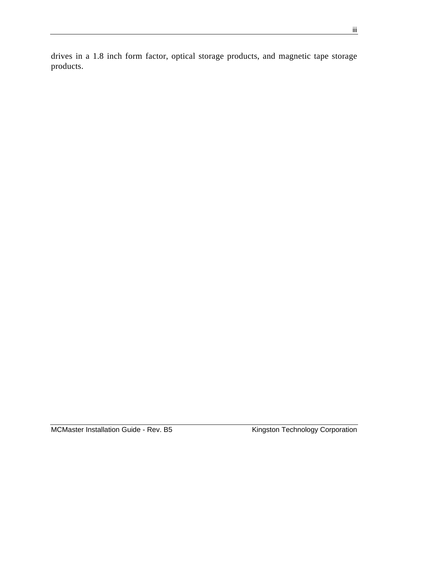drives in a 1.8 inch form factor, optical storage products, and magnetic tape storage products.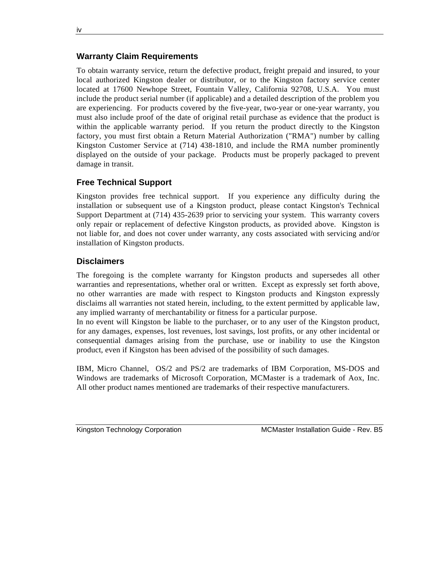#### **Warranty Claim Requirements**

To obtain warranty service, return the defective product, freight prepaid and insured, to your local authorized Kingston dealer or distributor, or to the Kingston factory service center located at 17600 Newhope Street, Fountain Valley, California 92708, U.S.A. You must include the product serial number (if applicable) and a detailed description of the problem you are experiencing. For products covered by the five-year, two-year or one-year warranty, you must also include proof of the date of original retail purchase as evidence that the product is within the applicable warranty period. If you return the product directly to the Kingston factory, you must first obtain a Return Material Authorization ("RMA") number by calling Kingston Customer Service at (714) 438-1810, and include the RMA number prominently displayed on the outside of your package. Products must be properly packaged to prevent damage in transit.

#### **Free Technical Support**

Kingston provides free technical support. If you experience any difficulty during the installation or subsequent use of a Kingston product, please contact Kingston's Technical Support Department at (714) 435-2639 prior to servicing your system. This warranty covers only repair or replacement of defective Kingston products, as provided above. Kingston is not liable for, and does not cover under warranty, any costs associated with servicing and/or installation of Kingston products.

#### **Disclaimers**

The foregoing is the complete warranty for Kingston products and supersedes all other warranties and representations, whether oral or written. Except as expressly set forth above, no other warranties are made with respect to Kingston products and Kingston expressly disclaims all warranties not stated herein, including, to the extent permitted by applicable law, any implied warranty of merchantability or fitness for a particular purpose.

In no event will Kingston be liable to the purchaser, or to any user of the Kingston product, for any damages, expenses, lost revenues, lost savings, lost profits, or any other incidental or consequential damages arising from the purchase, use or inability to use the Kingston product, even if Kingston has been advised of the possibility of such damages.

IBM, Micro Channel, OS/2 and PS/2 are trademarks of IBM Corporation, MS-DOS and Windows are trademarks of Microsoft Corporation, MCMaster is a trademark of Aox, Inc. All other product names mentioned are trademarks of their respective manufacturers.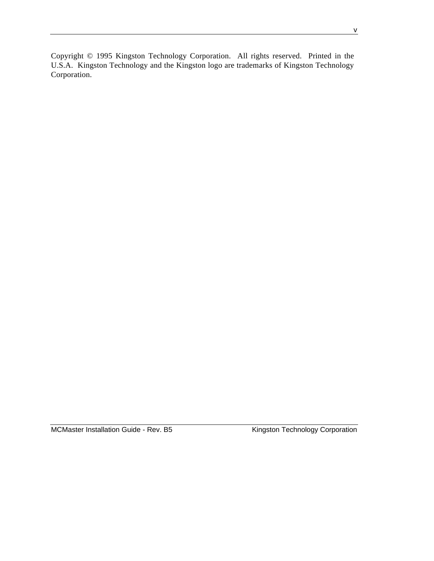Copyright © 1995 Kingston Technology Corporation. All rights reserved. Printed in the U.S.A. Kingston Technology and the Kingston logo are trademarks of Kingston Technology Corporation.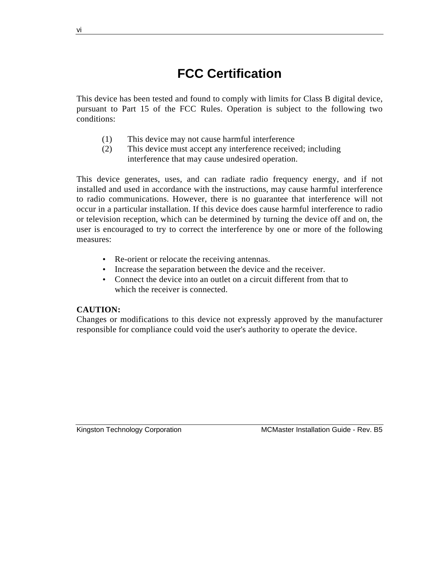## **FCC Certification**

This device has been tested and found to comply with limits for Class B digital device, pursuant to Part 15 of the FCC Rules. Operation is subject to the following two conditions:

- (1) This device may not cause harmful interference
- (2) This device must accept any interference received; including interference that may cause undesired operation.

This device generates, uses, and can radiate radio frequency energy, and if not installed and used in accordance with the instructions, may cause harmful interference to radio communications. However, there is no guarantee that interference will not occur in a particular installation. If this device does cause harmful interference to radio or television reception, which can be determined by turning the device off and on, the user is encouraged to try to correct the interference by one or more of the following measures:

- Re-orient or relocate the receiving antennas.
- Increase the separation between the device and the receiver.
- Connect the device into an outlet on a circuit different from that to which the receiver is connected.

### **CAUTION:**

Changes or modifications to this device not expressly approved by the manufacturer responsible for compliance could void the user's authority to operate the device.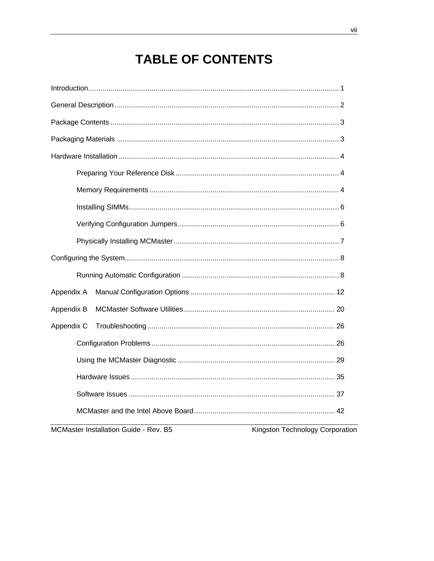## **TABLE OF CONTENTS**

| Appendix A<br>Appendix B<br>Appendix C |  |
|----------------------------------------|--|
|                                        |  |
|                                        |  |
|                                        |  |
|                                        |  |
|                                        |  |
|                                        |  |
|                                        |  |
|                                        |  |
|                                        |  |
|                                        |  |
|                                        |  |
|                                        |  |
|                                        |  |
|                                        |  |
|                                        |  |
|                                        |  |
|                                        |  |
|                                        |  |
|                                        |  |

MCMaster Installation Guide - Rev. B5

Kingston Technology Corporation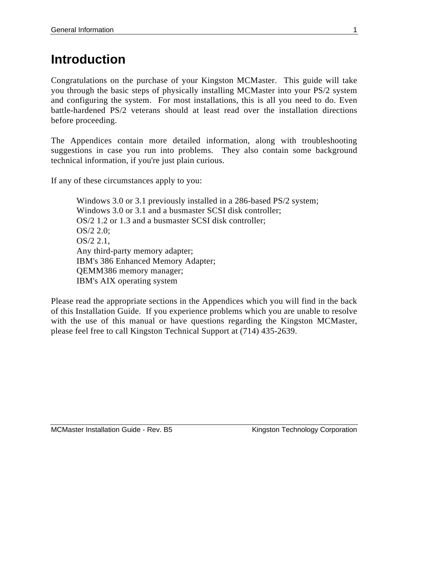## **Introduction**

Congratulations on the purchase of your Kingston MCMaster. This guide will take you through the basic steps of physically installing MCMaster into your PS/2 system and configuring the system. For most installations, this is all you need to do. Even battle-hardened PS/2 veterans should at least read over the installation directions before proceeding.

The Appendices contain more detailed information, along with troubleshooting suggestions in case you run into problems. They also contain some background technical information, if you're just plain curious.

If any of these circumstances apply to you:

Windows 3.0 or 3.1 previously installed in a 286-based PS/2 system; Windows 3.0 or 3.1 and a busmaster SCSI disk controller; OS/2 1.2 or 1.3 and a busmaster SCSI disk controller; OS/2 2.0; OS/2 2.1, Any third-party memory adapter; IBM's 386 Enhanced Memory Adapter; QEMM386 memory manager; IBM's AIX operating system

Please read the appropriate sections in the Appendices which you will find in the back of this Installation Guide. If you experience problems which you are unable to resolve with the use of this manual or have questions regarding the Kingston MCMaster, please feel free to call Kingston Technical Support at (714) 435-2639.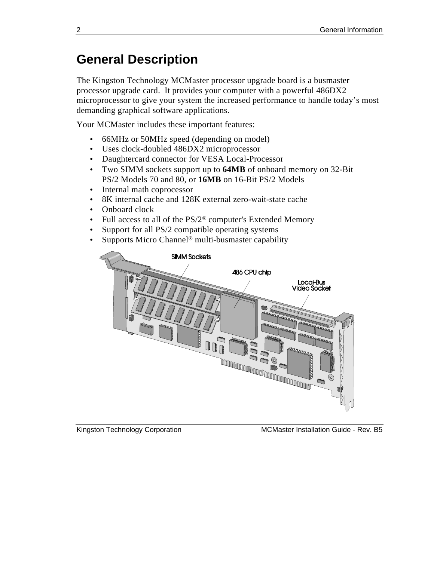## **General Description**

The Kingston Technology MCMaster processor upgrade board is a busmaster processor upgrade card. It provides your computer with a powerful 486DX2 microprocessor to give your system the increased performance to handle today's most demanding graphical software applications.

Your MCMaster includes these important features:

- 66MHz or 50MHz speed (depending on model)
- Uses clock-doubled 486DX2 microprocessor
- Daughtercard connector for VESA Local-Processor
- Two SIMM sockets support up to **64MB** of onboard memory on 32-Bit PS/2 Models 70 and 80, or **16MB** on 16-Bit PS/2 Models
- Internal math coprocessor
- 8K internal cache and 128K external zero-wait-state cache
- Onboard clock
- Full access to all of the  $PS/2^{\circledast}$  computer's Extended Memory
- Support for all PS/2 compatible operating systems
- Supports Micro Channel<sup>®</sup> multi-busmaster capability



Kingston Technology Corporation **MCMaster Installation Guide - Rev. B5**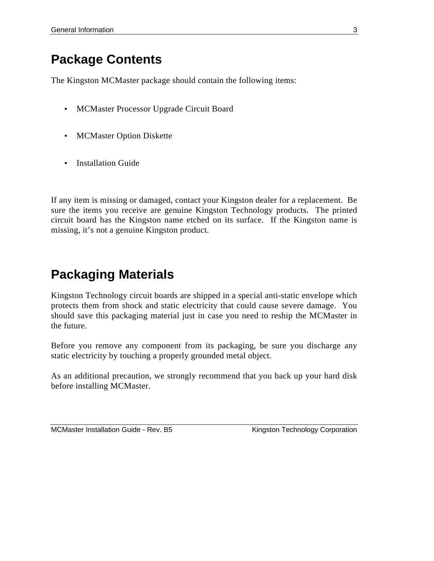## **Package Contents**

The Kingston MCMaster package should contain the following items:

- MCMaster Processor Upgrade Circuit Board
- MCMaster Option Diskette
- Installation Guide

If any item is missing or damaged, contact your Kingston dealer for a replacement. Be sure the items you receive are genuine Kingston Technology products. The printed circuit board has the Kingston name etched on its surface. If the Kingston name is missing, it's not a genuine Kingston product.

## **Packaging Materials**

Kingston Technology circuit boards are shipped in a special anti-static envelope which protects them from shock and static electricity that could cause severe damage. You should save this packaging material just in case you need to reship the MCMaster in the future.

Before you remove any component from its packaging, be sure you discharge any static electricity by touching a properly grounded metal object.

As an additional precaution, we strongly recommend that you back up your hard disk before installing MCMaster.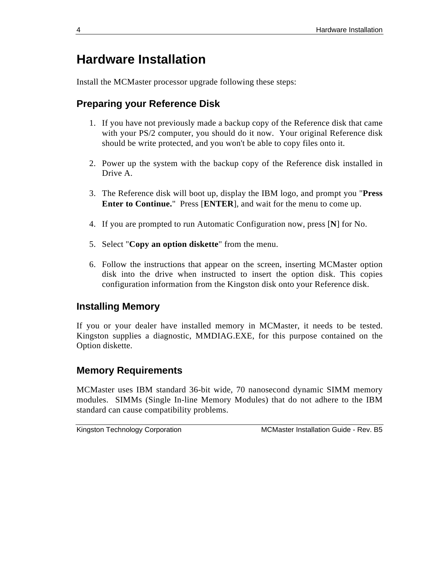## **Hardware Installation**

Install the MCMaster processor upgrade following these steps:

### **Preparing your Reference Disk**

- 1. If you have not previously made a backup copy of the Reference disk that came with your PS/2 computer, you should do it now. Your original Reference disk should be write protected, and you won't be able to copy files onto it.
- 2. Power up the system with the backup copy of the Reference disk installed in Drive A.
- 3. The Reference disk will boot up, display the IBM logo, and prompt you "**Press Enter to Continue.**" Press [**ENTER**], and wait for the menu to come up.
- 4. If you are prompted to run Automatic Configuration now, press [**N**] for No.
- 5. Select "**Copy an option diskette**" from the menu.
- 6. Follow the instructions that appear on the screen, inserting MCMaster option disk into the drive when instructed to insert the option disk. This copies configuration information from the Kingston disk onto your Reference disk.

### **Installing Memory**

If you or your dealer have installed memory in MCMaster, it needs to be tested. Kingston supplies a diagnostic, MMDIAG.EXE, for this purpose contained on the Option diskette.

### **Memory Requirements**

MCMaster uses IBM standard 36-bit wide, 70 nanosecond dynamic SIMM memory modules. SIMMs (Single In-line Memory Modules) that do not adhere to the IBM standard can cause compatibility problems.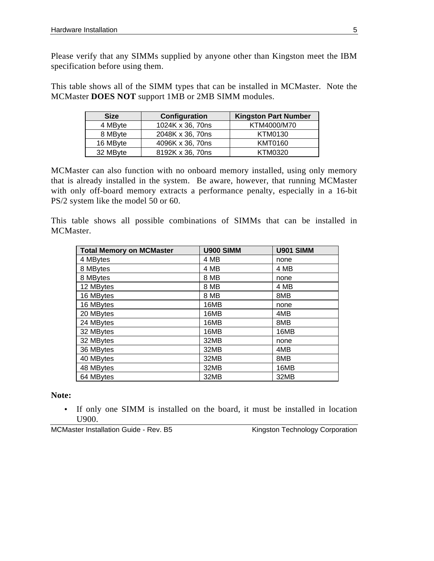Please verify that any SIMMs supplied by anyone other than Kingston meet the IBM specification before using them.

This table shows all of the SIMM types that can be installed in MCMaster. Note the MCMaster **DOES NOT** support 1MB or 2MB SIMM modules.

| <b>Size</b> | Configuration    | <b>Kingston Part Number</b> |
|-------------|------------------|-----------------------------|
| 4 MByte     | 1024K x 36, 70ns | KTM4000/M70                 |
| 8 MByte     | 2048K x 36, 70ns | KTM0130                     |
| 16 MByte    | 4096K x 36, 70ns | <b>KMT0160</b>              |
| 32 MByte    | 8192K x 36, 70ns | KTM0320                     |

MCMaster can also function with no onboard memory installed, using only memory that is already installed in the system. Be aware, however, that running MCMaster with only off-board memory extracts a performance penalty, especially in a 16-bit PS/2 system like the model 50 or 60.

This table shows all possible combinations of SIMMs that can be installed in MCMaster.

| <b>Total Memory on MCMaster</b> | U900 SIMM | <b>U901 SIMM</b> |
|---------------------------------|-----------|------------------|
| 4 MBytes                        | 4 MB      | none             |
| 8 MBytes                        | 4 MB      | 4 MB             |
| 8 MBytes                        | 8 MB      | none             |
| 12 MBytes                       | 8 MB      | 4 MB             |
| 16 MBytes                       | 8 MB      | 8MB              |
| 16 MBytes                       | 16MB      | none             |
| 20 MBytes                       | 16MB      | 4MB              |
| 24 MBytes                       | 16MB      | 8MB              |
| 32 MBytes                       | 16MB      | 16MB             |
| 32 MBytes                       | 32MB      | none             |
| 36 MBytes                       | 32MB      | 4MB              |
| 40 MBytes                       | 32MB      | 8MB              |
| 48 MBytes                       | 32MB      | 16MB             |
| 64 MBytes                       | 32MB      | 32MB             |

#### **Note:**

• If only one SIMM is installed on the board, it must be installed in location U900.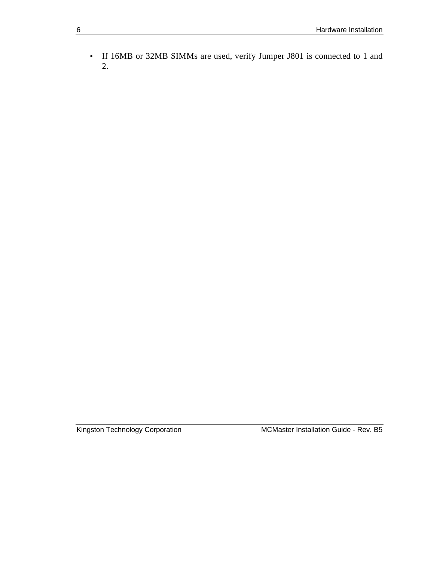• If 16MB or 32MB SIMMs are used, verify Jumper J801 is connected to 1 and 2.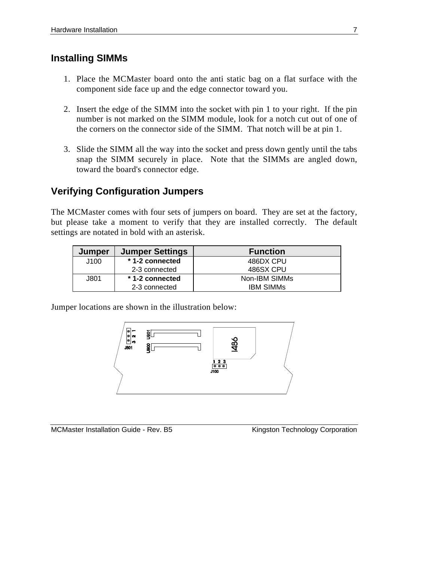### **Installing SIMMs**

- 1. Place the MCMaster board onto the anti static bag on a flat surface with the component side face up and the edge connector toward you.
- 2. Insert the edge of the SIMM into the socket with pin 1 to your right. If the pin number is not marked on the SIMM module, look for a notch cut out of one of the corners on the connector side of the SIMM. That notch will be at pin 1.
- 3. Slide the SIMM all the way into the socket and press down gently until the tabs snap the SIMM securely in place. Note that the SIMMs are angled down, toward the board's connector edge.

### **Verifying Configuration Jumpers**

The MCMaster comes with four sets of jumpers on board. They are set at the factory, but please take a moment to verify that they are installed correctly. The default settings are notated in bold with an asterisk.

| Jumper | <b>Jumper Settings</b> | <b>Function</b>  |
|--------|------------------------|------------------|
| J100   | * 1-2 connected        | 486DX CPU        |
|        | 2-3 connected          | 486SX CPU        |
| J801   | * 1-2 connected        | Non-IBM SIMMs    |
|        | 2-3 connected          | <b>IBM SIMMS</b> |

Jumper locations are shown in the illustration below:



MCMaster Installation Guide - Rev. B5 Kingston Technology Corporation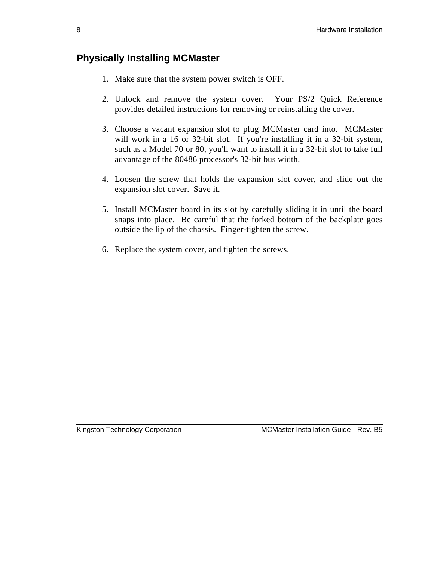### **Physically Installing MCMaster**

- 1. Make sure that the system power switch is OFF.
- 2. Unlock and remove the system cover. Your PS/2 Quick Reference provides detailed instructions for removing or reinstalling the cover.
- 3. Choose a vacant expansion slot to plug MCMaster card into. MCMaster will work in a 16 or 32-bit slot. If you're installing it in a 32-bit system, such as a Model 70 or 80, you'll want to install it in a 32-bit slot to take full advantage of the 80486 processor's 32-bit bus width.
- 4. Loosen the screw that holds the expansion slot cover, and slide out the expansion slot cover. Save it.
- 5. Install MCMaster board in its slot by carefully sliding it in until the board snaps into place. Be careful that the forked bottom of the backplate goes outside the lip of the chassis. Finger-tighten the screw.
- 6. Replace the system cover, and tighten the screws.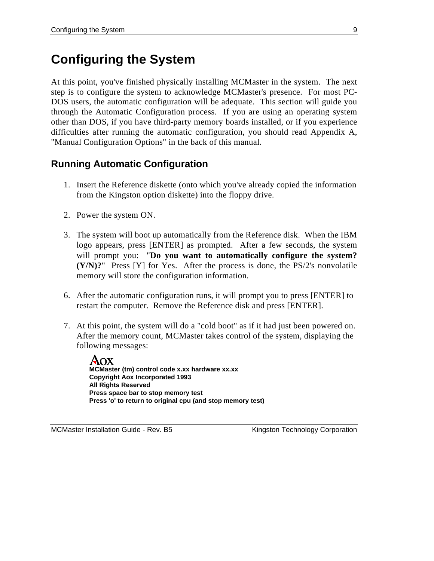## **Configuring the System**

At this point, you've finished physically installing MCMaster in the system. The next step is to configure the system to acknowledge MCMaster's presence. For most PC-DOS users, the automatic configuration will be adequate. This section will guide you through the Automatic Configuration process. If you are using an operating system other than DOS, if you have third-party memory boards installed, or if you experience difficulties after running the automatic configuration, you should read Appendix A, "Manual Configuration Options" in the back of this manual.

### **Running Automatic Configuration**

- 1. Insert the Reference diskette (onto which you've already copied the information from the Kingston option diskette) into the floppy drive.
- 2. Power the system ON.
- 3. The system will boot up automatically from the Reference disk. When the IBM logo appears, press [ENTER] as prompted. After a few seconds, the system will prompt you: "**Do you want to automatically configure the system? (Y/N)?**" Press [Y] for Yes. After the process is done, the PS/2's nonvolatile memory will store the configuration information.
- 6. After the automatic configuration runs, it will prompt you to press [ENTER] to restart the computer. Remove the Reference disk and press [ENTER].
- 7. At this point, the system will do a "cold boot" as if it had just been powered on. After the memory count, MCMaster takes control of the system, displaying the following messages:

AOX **MCMaster (tm) control code x.xx hardware xx.xx Copyright Aox Incorporated 1993 All Rights Reserved Press space bar to stop memory test Press 'o' to return to original cpu (and stop memory test)**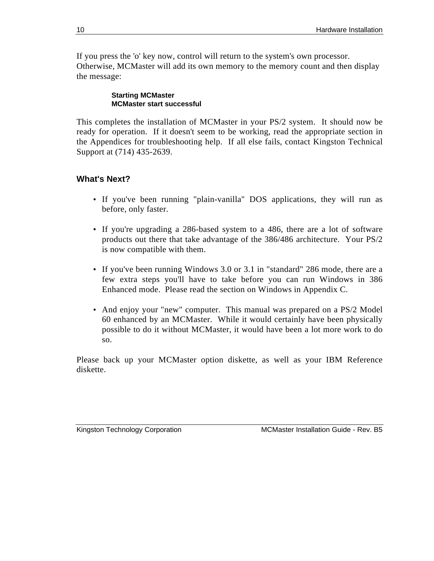If you press the 'o' key now, control will return to the system's own processor. Otherwise, MCMaster will add its own memory to the memory count and then display the message:

#### **Starting MCMaster MCMaster start successful**

This completes the installation of MCMaster in your PS/2 system. It should now be ready for operation. If it doesn't seem to be working, read the appropriate section in the Appendices for troubleshooting help. If all else fails, contact Kingston Technical Support at (714) 435-2639.

### **What's Next?**

- If you've been running "plain-vanilla" DOS applications, they will run as before, only faster.
- If you're upgrading a 286-based system to a 486, there are a lot of software products out there that take advantage of the 386/486 architecture. Your PS/2 is now compatible with them.
- If you've been running Windows 3.0 or 3.1 in "standard" 286 mode, there are a few extra steps you'll have to take before you can run Windows in 386 Enhanced mode. Please read the section on Windows in Appendix C.
- And enjoy your "new" computer. This manual was prepared on a PS/2 Model 60 enhanced by an MCMaster. While it would certainly have been physically possible to do it without MCMaster, it would have been a lot more work to do so.

Please back up your MCMaster option diskette, as well as your IBM Reference diskette.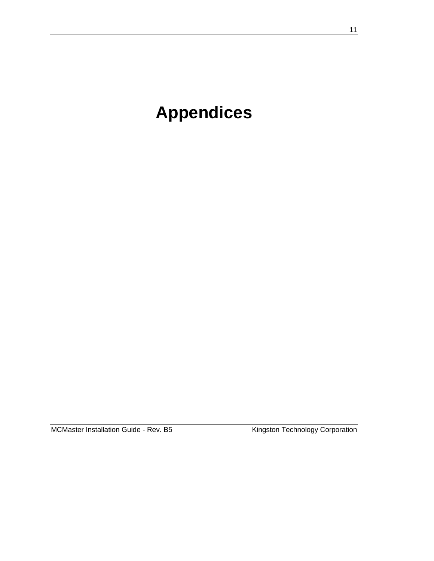# **Appendices**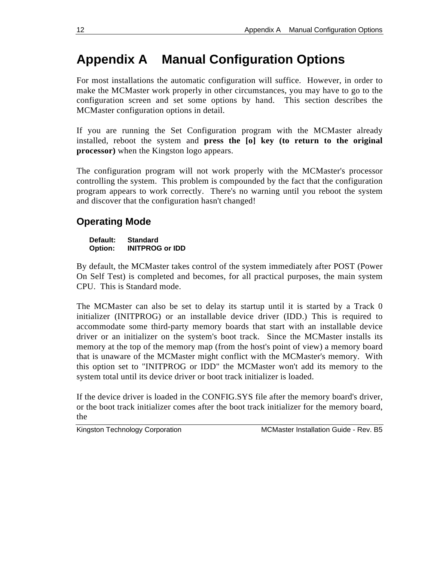## **Appendix A Manual Configuration Options**

For most installations the automatic configuration will suffice. However, in order to make the MCMaster work properly in other circumstances, you may have to go to the configuration screen and set some options by hand. This section describes the MCMaster configuration options in detail.

If you are running the Set Configuration program with the MCMaster already installed, reboot the system and **press the [o] key (to return to the original processor)** when the Kingston logo appears.

The configuration program will not work properly with the MCMaster's processor controlling the system. This problem is compounded by the fact that the configuration program appears to work correctly. There's no warning until you reboot the system and discover that the configuration hasn't changed!

### **Operating Mode**

#### **Default: Standard Option: INITPROG or IDD**

By default, the MCMaster takes control of the system immediately after POST (Power On Self Test) is completed and becomes, for all practical purposes, the main system CPU. This is Standard mode.

The MCMaster can also be set to delay its startup until it is started by a Track 0 initializer (INITPROG) or an installable device driver (IDD.) This is required to accommodate some third-party memory boards that start with an installable device driver or an initializer on the system's boot track. Since the MCMaster installs its memory at the top of the memory map (from the host's point of view) a memory board that is unaware of the MCMaster might conflict with the MCMaster's memory. With this option set to "INITPROG or IDD" the MCMaster won't add its memory to the system total until its device driver or boot track initializer is loaded.

If the device driver is loaded in the CONFIG.SYS file after the memory board's driver, or the boot track initializer comes after the boot track initializer for the memory board, the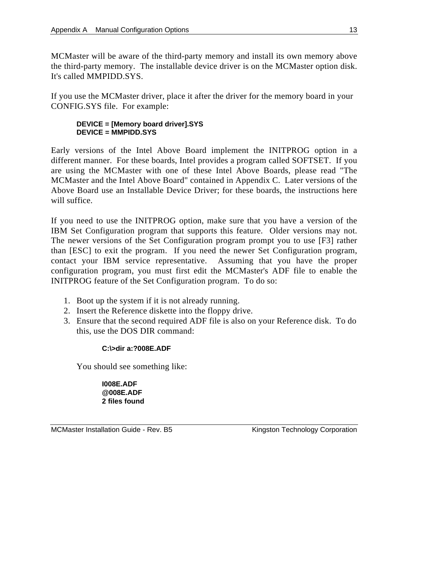MCMaster will be aware of the third-party memory and install its own memory above the third-party memory. The installable device driver is on the MCMaster option disk. It's called MMPIDD.SYS.

If you use the MCMaster driver, place it after the driver for the memory board in your CONFIG.SYS file. For example:

#### **DEVICE = [Memory board driver].SYS DEVICE = MMPIDD.SYS**

Early versions of the Intel Above Board implement the INITPROG option in a different manner. For these boards, Intel provides a program called SOFTSET. If you are using the MCMaster with one of these Intel Above Boards, please read "The MCMaster and the Intel Above Board" contained in Appendix C. Later versions of the Above Board use an Installable Device Driver; for these boards, the instructions here will suffice.

If you need to use the INITPROG option, make sure that you have a version of the IBM Set Configuration program that supports this feature. Older versions may not. The newer versions of the Set Configuration program prompt you to use [F3] rather than [ESC] to exit the program. If you need the newer Set Configuration program, contact your IBM service representative. Assuming that you have the proper configuration program, you must first edit the MCMaster's ADF file to enable the INITPROG feature of the Set Configuration program. To do so:

- 1. Boot up the system if it is not already running.
- 2. Insert the Reference diskette into the floppy drive.
- 3. Ensure that the second required ADF file is also on your Reference disk. To do this, use the DOS DIR command:

#### **C:\>dir a:?008E.ADF**

You should see something like:

**I008E.ADF @008E.ADF 2 files found**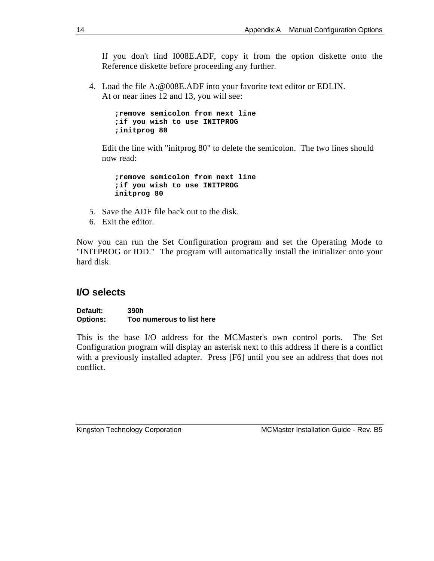If you don't find I008E.ADF, copy it from the option diskette onto the Reference diskette before proceeding any further.

4. Load the file A:@008E.ADF into your favorite text editor or EDLIN. At or near lines 12 and 13, you will see:

> **;remove semicolon from next line ;if you wish to use INITPROG ;initprog 80**

Edit the line with "initprog 80" to delete the semicolon. The two lines should now read:

**;remove semicolon from next line ;if you wish to use INITPROG initprog 80**

- 5. Save the ADF file back out to the disk.
- 6. Exit the editor.

Now you can run the Set Configuration program and set the Operating Mode to "INITPROG or IDD." The program will automatically install the initializer onto your hard disk.

### **I/O selects**

**Default: 390h Options: Too numerous to list here**

This is the base I/O address for the MCMaster's own control ports. The Set Configuration program will display an asterisk next to this address if there is a conflict with a previously installed adapter. Press [F6] until you see an address that does not conflict.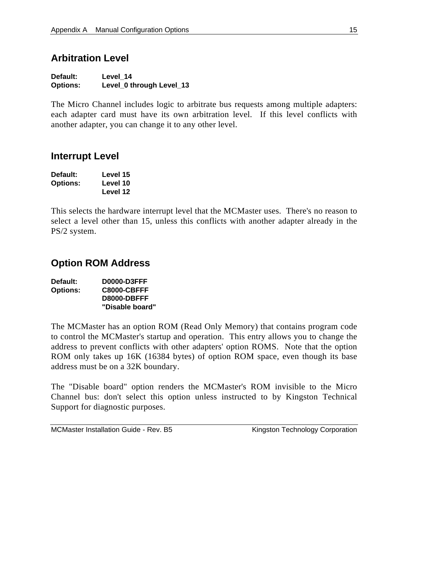### **Arbitration Level**

| Default:        | Level 14                 |
|-----------------|--------------------------|
| <b>Options:</b> | Level_0 through Level_13 |

The Micro Channel includes logic to arbitrate bus requests among multiple adapters: each adapter card must have its own arbitration level. If this level conflicts with another adapter, you can change it to any other level.

### **Interrupt Level**

| Default:        | Level 15 |
|-----------------|----------|
| <b>Options:</b> | Level 10 |
|                 | Level 12 |

This selects the hardware interrupt level that the MCMaster uses. There's no reason to select a level other than 15, unless this conflicts with another adapter already in the PS/2 system.

### **Option ROM Address**

| Default:        | <b>D0000-D3FFF</b> |
|-----------------|--------------------|
| <b>Options:</b> | C8000-CBFFF        |
|                 | D8000-DBFFF        |
|                 | "Disable board"    |

The MCMaster has an option ROM (Read Only Memory) that contains program code to control the MCMaster's startup and operation. This entry allows you to change the address to prevent conflicts with other adapters' option ROMS. Note that the option ROM only takes up 16K (16384 bytes) of option ROM space, even though its base address must be on a 32K boundary.

The "Disable board" option renders the MCMaster's ROM invisible to the Micro Channel bus: don't select this option unless instructed to by Kingston Technical Support for diagnostic purposes.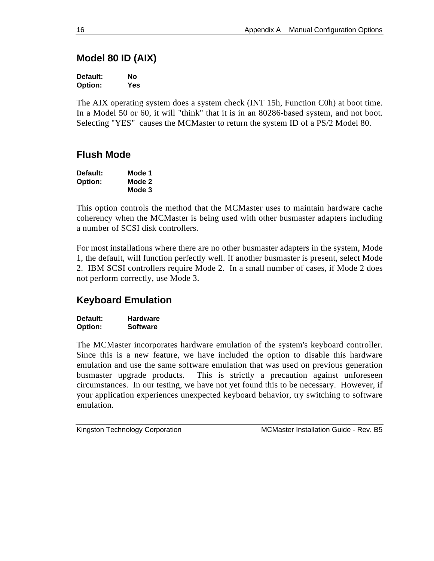### **Model 80 ID (AIX)**

| Default: | Nο  |
|----------|-----|
| Option:  | Yes |

The AIX operating system does a system check (INT 15h, Function C0h) at boot time. In a Model 50 or 60, it will "think" that it is in an 80286-based system, and not boot. Selecting "YES" causes the MCMaster to return the system ID of a PS/2 Model 80.

### **Flush Mode**

| Default: | Mode 1 |
|----------|--------|
| Option:  | Mode 2 |
|          | Mode 3 |

This option controls the method that the MCMaster uses to maintain hardware cache coherency when the MCMaster is being used with other busmaster adapters including a number of SCSI disk controllers.

For most installations where there are no other busmaster adapters in the system, Mode 1, the default, will function perfectly well. If another busmaster is present, select Mode 2. IBM SCSI controllers require Mode 2. In a small number of cases, if Mode 2 does not perform correctly, use Mode 3.

### **Keyboard Emulation**

**Default: Hardware Option: Software**

The MCMaster incorporates hardware emulation of the system's keyboard controller. Since this is a new feature, we have included the option to disable this hardware emulation and use the same software emulation that was used on previous generation busmaster upgrade products. This is strictly a precaution against unforeseen circumstances. In our testing, we have not yet found this to be necessary. However, if your application experiences unexpected keyboard behavior, try switching to software emulation.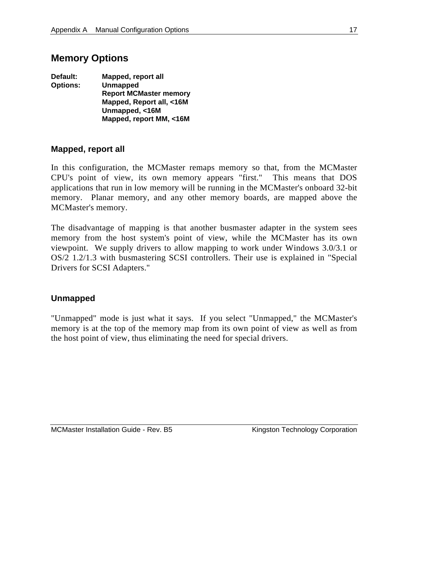### **Memory Options**

| Default:        | Mapped, report all            |
|-----------------|-------------------------------|
| <b>Options:</b> | <b>Unmapped</b>               |
|                 | <b>Report MCMaster memory</b> |
|                 | Mapped, Report all, <16M      |
|                 | Unmapped, <16M                |
|                 | Mapped, report MM, <16M       |

#### **Mapped, report all**

In this configuration, the MCMaster remaps memory so that, from the MCMaster CPU's point of view, its own memory appears "first." This means that DOS applications that run in low memory will be running in the MCMaster's onboard 32-bit memory. Planar memory, and any other memory boards, are mapped above the MCMaster's memory.

The disadvantage of mapping is that another busmaster adapter in the system sees memory from the host system's point of view, while the MCMaster has its own viewpoint. We supply drivers to allow mapping to work under Windows 3.0/3.1 or OS/2 1.2/1.3 with busmastering SCSI controllers. Their use is explained in "Special Drivers for SCSI Adapters."

#### **Unmapped**

"Unmapped" mode is just what it says. If you select "Unmapped," the MCMaster's memory is at the top of the memory map from its own point of view as well as from the host point of view, thus eliminating the need for special drivers.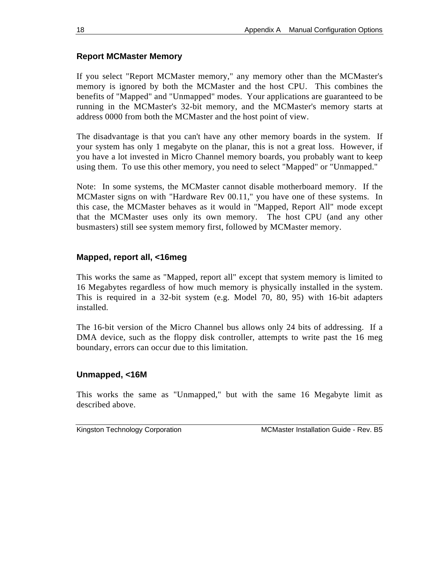### **Report MCMaster Memory**

If you select "Report MCMaster memory," any memory other than the MCMaster's memory is ignored by both the MCMaster and the host CPU. This combines the benefits of "Mapped" and "Unmapped" modes. Your applications are guaranteed to be running in the MCMaster's 32-bit memory, and the MCMaster's memory starts at address 0000 from both the MCMaster and the host point of view.

The disadvantage is that you can't have any other memory boards in the system. If your system has only 1 megabyte on the planar, this is not a great loss. However, if you have a lot invested in Micro Channel memory boards, you probably want to keep using them. To use this other memory, you need to select "Mapped" or "Unmapped."

Note: In some systems, the MCMaster cannot disable motherboard memory. If the MCMaster signs on with "Hardware Rev 00.11," you have one of these systems. In this case, the MCMaster behaves as it would in "Mapped, Report All" mode except that the MCMaster uses only its own memory. The host CPU (and any other busmasters) still see system memory first, followed by MCMaster memory.

### **Mapped, report all, <16meg**

This works the same as "Mapped, report all" except that system memory is limited to 16 Megabytes regardless of how much memory is physically installed in the system. This is required in a 32-bit system (e.g. Model 70, 80, 95) with 16-bit adapters installed.

The 16-bit version of the Micro Channel bus allows only 24 bits of addressing. If a DMA device, such as the floppy disk controller, attempts to write past the 16 meg boundary, errors can occur due to this limitation.

#### **Unmapped, <16M**

This works the same as "Unmapped," but with the same 16 Megabyte limit as described above.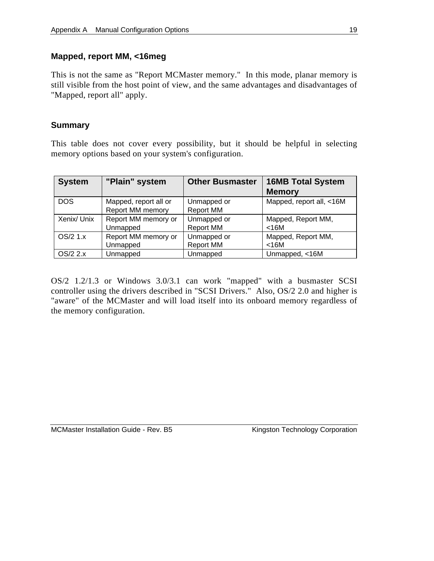#### **Mapped, report MM, <16meg**

This is not the same as "Report MCMaster memory." In this mode, planar memory is still visible from the host point of view, and the same advantages and disadvantages of "Mapped, report all" apply.

### **Summary**

This table does not cover every possibility, but it should be helpful in selecting memory options based on your system's configuration.

| <b>System</b> | "Plain" system        | <b>Other Busmaster</b> | <b>16MB Total System</b> |
|---------------|-----------------------|------------------------|--------------------------|
|               |                       |                        | <b>Memory</b>            |
| <b>DOS</b>    | Mapped, report all or | Unmapped or            | Mapped, report all, <16M |
|               | Report MM memory      | <b>Report MM</b>       |                          |
| Xenix/ Unix   | Report MM memory or   | Unmapped or            | Mapped, Report MM,       |
|               | Unmapped              | <b>Report MM</b>       | $<$ 16M                  |
| $OS/2$ 1. $x$ | Report MM memory or   | Unmapped or            | Mapped, Report MM,       |
|               | Unmapped              | <b>Report MM</b>       | $<$ 16M                  |
| OS/2 2.x      | Unmapped              | Unmapped               | Unmapped, <16M           |

OS/2 1.2/1.3 or Windows 3.0/3.1 can work "mapped" with a busmaster SCSI controller using the drivers described in "SCSI Drivers." Also, OS/2 2.0 and higher is "aware" of the MCMaster and will load itself into its onboard memory regardless of the memory configuration.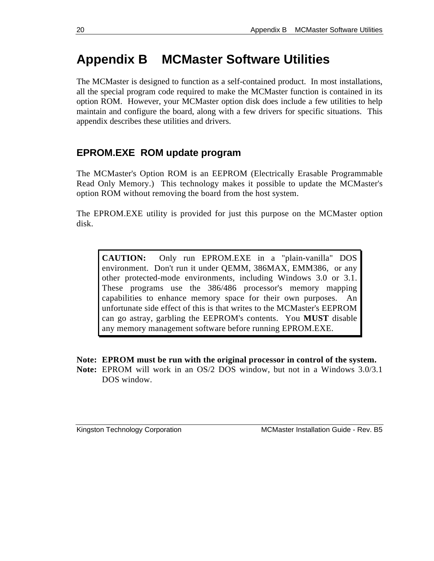## **Appendix B MCMaster Software Utilities**

The MCMaster is designed to function as a self-contained product. In most installations, all the special program code required to make the MCMaster function is contained in its option ROM. However, your MCMaster option disk does include a few utilities to help maintain and configure the board, along with a few drivers for specific situations. This appendix describes these utilities and drivers.

### **EPROM.EXE ROM update program**

The MCMaster's Option ROM is an EEPROM (Electrically Erasable Programmable Read Only Memory.) This technology makes it possible to update the MCMaster's option ROM without removing the board from the host system.

The EPROM.EXE utility is provided for just this purpose on the MCMaster option disk.

**CAUTION:** Only run EPROM.EXE in a "plain-vanilla" DOS environment. Don't run it under QEMM, 386MAX, EMM386, or any other protected-mode environments, including Windows 3.0 or 3.1. These programs use the 386/486 processor's memory mapping capabilities to enhance memory space for their own purposes. An unfortunate side effect of this is that writes to the MCMaster's EEPROM can go astray, garbling the EEPROM's contents. You **MUST** disable any memory management software before running EPROM.EXE.

**Note: EPROM must be run with the original processor in control of the system.**

**Note:** EPROM will work in an OS/2 DOS window, but not in a Windows 3.0/3.1 DOS window.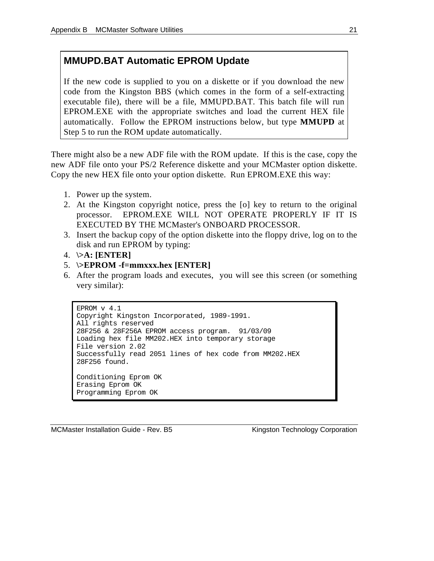### **MMUPD.BAT Automatic EPROM Update**

If the new code is supplied to you on a diskette or if you download the new code from the Kingston BBS (which comes in the form of a self-extracting executable file), there will be a file, MMUPD.BAT. This batch file will run EPROM.EXE with the appropriate switches and load the current HEX file automatically. Follow the EPROM instructions below, but type **MMUPD** at Step 5 to run the ROM update automatically.

There might also be a new ADF file with the ROM update. If this is the case, copy the new ADF file onto your PS/2 Reference diskette and your MCMaster option diskette. Copy the new HEX file onto your option diskette. Run EPROM.EXE this way:

- 1. Power up the system.
- 2. At the Kingston copyright notice, press the [o] key to return to the original processor. EPROM.EXE WILL NOT OPERATE PROPERLY IF IT IS EXECUTED BY THE MCMaster's ONBOARD PROCESSOR.
- 3. Insert the backup copy of the option diskette into the floppy drive, log on to the disk and run EPROM by typing:
- 4. **\>A: [ENTER]**
- 5. **\>EPROM -f=mmxxx.hex [ENTER]**
- 6. After the program loads and executes, you will see this screen (or something very similar):

```
EPROM v 4.1
Copyright Kingston Incorporated, 1989-1991.
All rights reserved
28F256 & 28F256A EPROM access program. 91/03/09
Loading hex file MM202.HEX into temporary storage
File version 2.02
Successfully read 2051 lines of hex code from MM202.HEX
28F256 found.
Conditioning Eprom OK
Erasing Eprom OK
Programming Eprom OK
```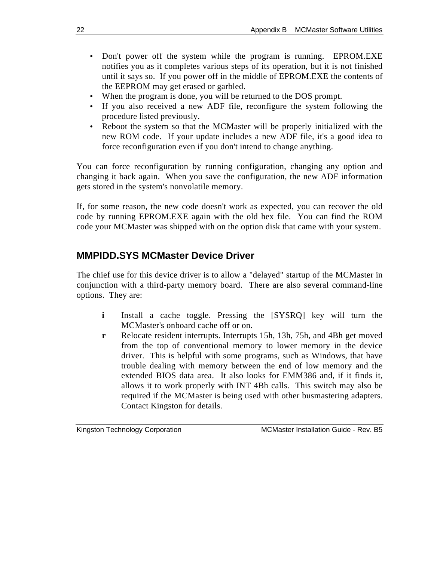- Don't power off the system while the program is running. EPROM.EXE notifies you as it completes various steps of its operation, but it is not finished until it says so. If you power off in the middle of EPROM.EXE the contents of the EEPROM may get erased or garbled.
- When the program is done, you will be returned to the DOS prompt.
- If you also received a new ADF file, reconfigure the system following the procedure listed previously.
- Reboot the system so that the MCMaster will be properly initialized with the new ROM code. If your update includes a new ADF file, it's a good idea to force reconfiguration even if you don't intend to change anything.

You can force reconfiguration by running configuration, changing any option and changing it back again. When you save the configuration, the new ADF information gets stored in the system's nonvolatile memory.

If, for some reason, the new code doesn't work as expected, you can recover the old code by running EPROM.EXE again with the old hex file. You can find the ROM code your MCMaster was shipped with on the option disk that came with your system.

### **MMPIDD.SYS MCMaster Device Driver**

The chief use for this device driver is to allow a "delayed" startup of the MCMaster in conjunction with a third-party memory board. There are also several command-line options. They are:

- **i** Install a cache toggle. Pressing the [SYSRQ] key will turn the MCMaster's onboard cache off or on.
- **r** Relocate resident interrupts. Interrupts 15h, 13h, 75h, and 4Bh get moved from the top of conventional memory to lower memory in the device driver. This is helpful with some programs, such as Windows, that have trouble dealing with memory between the end of low memory and the extended BIOS data area. It also looks for EMM386 and, if it finds it, allows it to work properly with INT 4Bh calls. This switch may also be required if the MCMaster is being used with other busmastering adapters. Contact Kingston for details.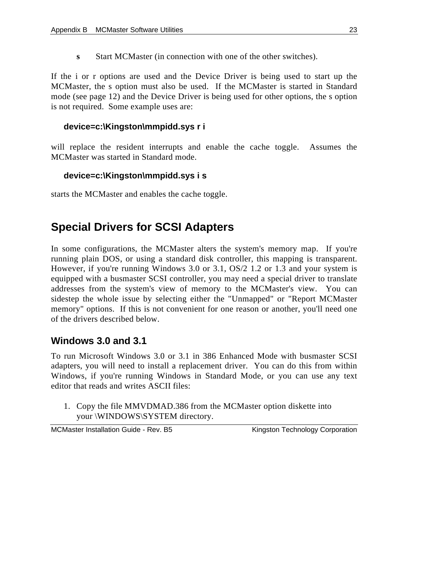**s** Start MCMaster (in connection with one of the other switches).

If the i or r options are used and the Device Driver is being used to start up the MCMaster, the s option must also be used. If the MCMaster is started in Standard mode (see page 12) and the Device Driver is being used for other options, the s option is not required. Some example uses are:

### **device=c:\Kingston\mmpidd.sys r i**

will replace the resident interrupts and enable the cache toggle. Assumes the MCMaster was started in Standard mode.

#### **device=c:\Kingston\mmpidd.sys i s**

starts the MCMaster and enables the cache toggle.

### **Special Drivers for SCSI Adapters**

In some configurations, the MCMaster alters the system's memory map. If you're running plain DOS, or using a standard disk controller, this mapping is transparent. However, if you're running Windows 3.0 or 3.1, OS/2 1.2 or 1.3 and your system is equipped with a busmaster SCSI controller, you may need a special driver to translate addresses from the system's view of memory to the MCMaster's view. You can sidestep the whole issue by selecting either the "Unmapped" or "Report MCMaster memory" options. If this is not convenient for one reason or another, you'll need one of the drivers described below.

### **Windows 3.0 and 3.1**

To run Microsoft Windows 3.0 or 3.1 in 386 Enhanced Mode with busmaster SCSI adapters, you will need to install a replacement driver. You can do this from within Windows, if you're running Windows in Standard Mode, or you can use any text editor that reads and writes ASCII files:

1. Copy the file MMVDMAD.386 from the MCMaster option diskette into your \WINDOWS\SYSTEM directory.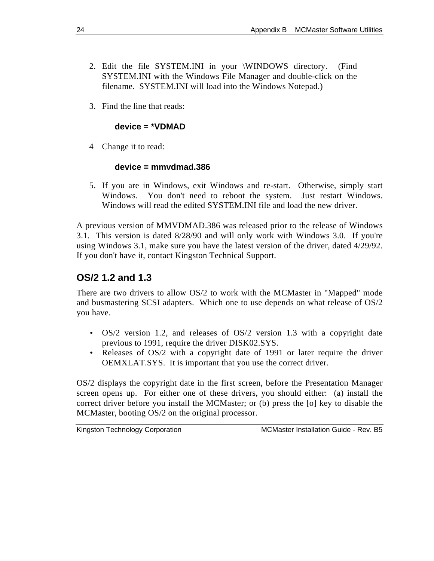- 2. Edit the file SYSTEM.INI in your \WINDOWS directory. (Find SYSTEM.INI with the Windows File Manager and double-click on the filename. SYSTEM.INI will load into the Windows Notepad.)
- 3. Find the line that reads:

#### **device = \*VDMAD**

4 Change it to read:

#### **device = mmvdmad.386**

5. If you are in Windows, exit Windows and re-start. Otherwise, simply start Windows. You don't need to reboot the system. Just restart Windows. Windows will read the edited SYSTEM.INI file and load the new driver.

A previous version of MMVDMAD.386 was released prior to the release of Windows 3.1. This version is dated 8/28/90 and will only work with Windows 3.0. If you're using Windows 3.1, make sure you have the latest version of the driver, dated 4/29/92. If you don't have it, contact Kingston Technical Support.

### **OS/2 1.2 and 1.3**

There are two drivers to allow OS/2 to work with the MCMaster in "Mapped" mode and busmastering SCSI adapters. Which one to use depends on what release of OS/2 you have.

- OS/2 version 1.2, and releases of OS/2 version 1.3 with a copyright date previous to 1991, require the driver DISK02.SYS.
- Releases of OS/2 with a copyright date of 1991 or later require the driver OEMXLAT.SYS. It is important that you use the correct driver.

OS/2 displays the copyright date in the first screen, before the Presentation Manager screen opens up. For either one of these drivers, you should either: (a) install the correct driver before you install the MCMaster; or (b) press the [o] key to disable the MCMaster, booting OS/2 on the original processor.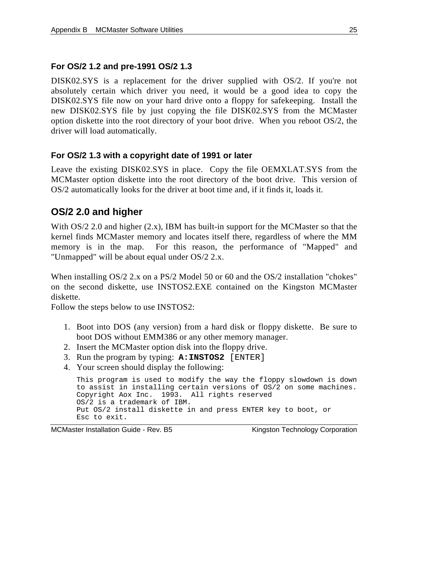#### **For OS/2 1.2 and pre-1991 OS/2 1.3**

DISK02.SYS is a replacement for the driver supplied with OS/2. If you're not absolutely certain which driver you need, it would be a good idea to copy the DISK02.SYS file now on your hard drive onto a floppy for safekeeping. Install the new DISK02.SYS file by just copying the file DISK02.SYS from the MCMaster option diskette into the root directory of your boot drive. When you reboot OS/2, the driver will load automatically.

#### **For OS/2 1.3 with a copyright date of 1991 or later**

Leave the existing DISK02.SYS in place. Copy the file OEMXLAT.SYS from the MCMaster option diskette into the root directory of the boot drive. This version of OS/2 automatically looks for the driver at boot time and, if it finds it, loads it.

### **OS/2 2.0 and higher**

With  $OS/2$  2.0 and higher  $(2.x)$ , IBM has built-in support for the MCMaster so that the kernel finds MCMaster memory and locates itself there, regardless of where the MM memory is in the map. For this reason, the performance of "Mapped" and "Unmapped" will be about equal under OS/2 2.x.

When installing OS/2 2.x on a PS/2 Model 50 or 60 and the OS/2 installation "chokes" on the second diskette, use INSTOS2.EXE contained on the Kingston MCMaster diskette.

Follow the steps below to use INSTOS2:

- 1. Boot into DOS (any version) from a hard disk or floppy diskette. Be sure to boot DOS without EMM386 or any other memory manager.
- 2. Insert the MCMaster option disk into the floppy drive.
- 3. Run the program by typing: **A:INSTOS2** [ENTER]
- 4. Your screen should display the following:

```
This program is used to modify the way the floppy slowdown is down
to assist in installing certain versions of OS/2 on some machines.
Copyright Aox Inc. 1993. All rights reserved
OS/2 is a trademark of IBM.
Put OS/2 install diskette in and press ENTER key to boot, or
Esc to exit.
```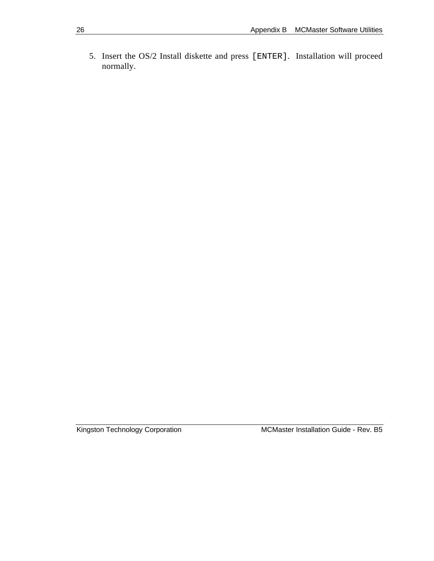5. Insert the OS/2 Install diskette and press [ENTER]. Installation will proceed normally.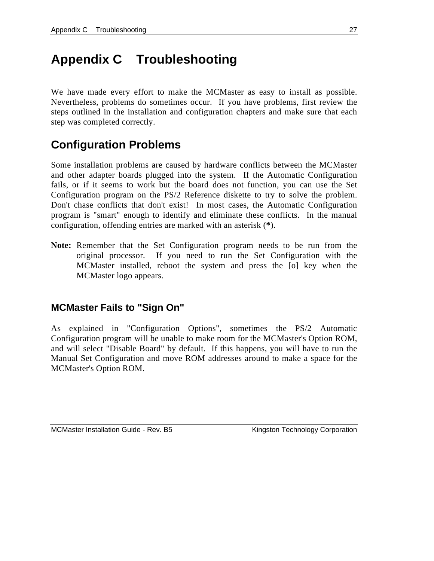## **Appendix C Troubleshooting**

We have made every effort to make the MCMaster as easy to install as possible. Nevertheless, problems do sometimes occur. If you have problems, first review the steps outlined in the installation and configuration chapters and make sure that each step was completed correctly.

### **Configuration Problems**

Some installation problems are caused by hardware conflicts between the MCMaster and other adapter boards plugged into the system. If the Automatic Configuration fails, or if it seems to work but the board does not function, you can use the Set Configuration program on the PS/2 Reference diskette to try to solve the problem. Don't chase conflicts that don't exist! In most cases, the Automatic Configuration program is "smart" enough to identify and eliminate these conflicts. In the manual configuration, offending entries are marked with an asterisk (**\***).

**Note:** Remember that the Set Configuration program needs to be run from the original processor. If you need to run the Set Configuration with the MCMaster installed, reboot the system and press the [o] key when the MCMaster logo appears.

### **MCMaster Fails to "Sign On"**

As explained in "Configuration Options", sometimes the PS/2 Automatic Configuration program will be unable to make room for the MCMaster's Option ROM, and will select "Disable Board" by default. If this happens, you will have to run the Manual Set Configuration and move ROM addresses around to make a space for the MCMaster's Option ROM.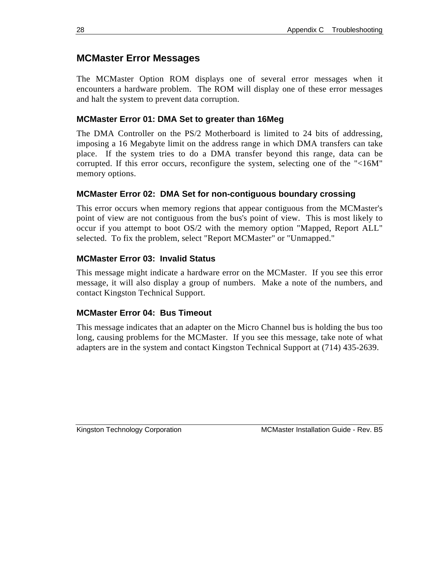### **MCMaster Error Messages**

The MCMaster Option ROM displays one of several error messages when it encounters a hardware problem. The ROM will display one of these error messages and halt the system to prevent data corruption.

### **MCMaster Error 01: DMA Set to greater than 16Meg**

The DMA Controller on the PS/2 Motherboard is limited to 24 bits of addressing, imposing a 16 Megabyte limit on the address range in which DMA transfers can take place. If the system tries to do a DMA transfer beyond this range, data can be corrupted. If this error occurs, reconfigure the system, selecting one of the "<16M" memory options.

### **MCMaster Error 02: DMA Set for non-contiguous boundary crossing**

This error occurs when memory regions that appear contiguous from the MCMaster's point of view are not contiguous from the bus's point of view. This is most likely to occur if you attempt to boot OS/2 with the memory option "Mapped, Report ALL" selected. To fix the problem, select "Report MCMaster" or "Unmapped."

### **MCMaster Error 03: Invalid Status**

This message might indicate a hardware error on the MCMaster. If you see this error message, it will also display a group of numbers. Make a note of the numbers, and contact Kingston Technical Support.

### **MCMaster Error 04: Bus Timeout**

This message indicates that an adapter on the Micro Channel bus is holding the bus too long, causing problems for the MCMaster. If you see this message, take note of what adapters are in the system and contact Kingston Technical Support at (714) 435-2639.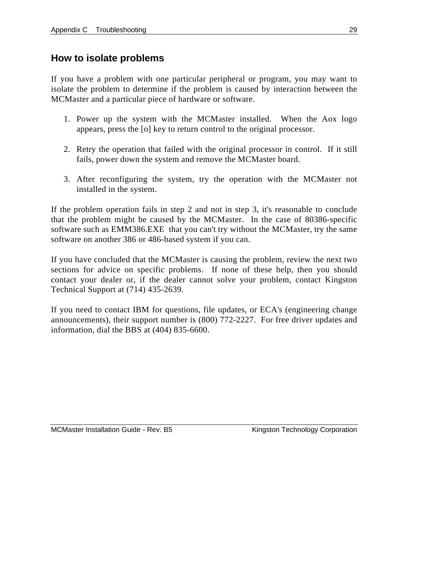### **How to isolate problems**

If you have a problem with one particular peripheral or program, you may want to isolate the problem to determine if the problem is caused by interaction between the MCMaster and a particular piece of hardware or software.

- 1. Power up the system with the MCMaster installed. When the Aox logo appears, press the [o] key to return control to the original processor.
- 2. Retry the operation that failed with the original processor in control. If it still fails, power down the system and remove the MCMaster board.
- 3. After reconfiguring the system, try the operation with the MCMaster not installed in the system.

If the problem operation fails in step 2 and not in step 3, it's reasonable to conclude that the problem might be caused by the MCMaster. In the case of 80386-specific software such as EMM386.EXE that you can't try without the MCMaster, try the same software on another 386 or 486-based system if you can.

If you have concluded that the MCMaster is causing the problem, review the next two sections for advice on specific problems. If none of these help, then you should contact your dealer or, if the dealer cannot solve your problem, contact Kingston Technical Support at (714) 435-2639.

If you need to contact IBM for questions, file updates, or ECA's (engineering change announcements), their support number is (800) 772-2227. For free driver updates and information, dial the BBS at (404) 835-6600.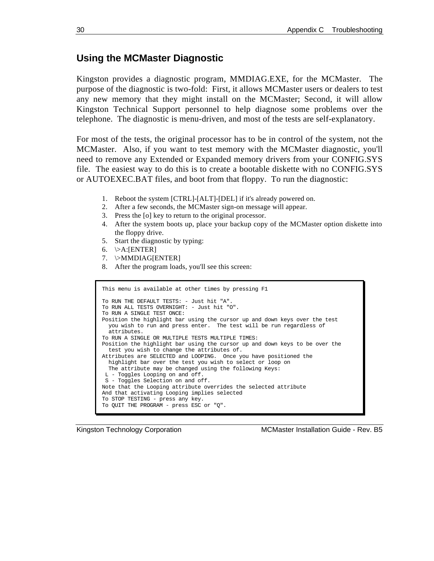#### **Using the MCMaster Diagnostic**

Kingston provides a diagnostic program, MMDIAG.EXE, for the MCMaster. The purpose of the diagnostic is two-fold: First, it allows MCMaster users or dealers to test any new memory that they might install on the MCMaster; Second, it will allow Kingston Technical Support personnel to help diagnose some problems over the telephone. The diagnostic is menu-driven, and most of the tests are self-explanatory.

For most of the tests, the original processor has to be in control of the system, not the MCMaster. Also, if you want to test memory with the MCMaster diagnostic, you'll need to remove any Extended or Expanded memory drivers from your CONFIG.SYS file. The easiest way to do this is to create a bootable diskette with no CONFIG.SYS or AUTOEXEC.BAT files, and boot from that floppy. To run the diagnostic:

- 1. Reboot the system [CTRL]-[ALT]-[DEL] if it's already powered on.
- 2. After a few seconds, the MCMaster sign-on message will appear.
- 3. Press the [o] key to return to the original processor.
- 4. After the system boots up, place your backup copy of the MCMaster option diskette into the floppy drive.
- 5. Start the diagnostic by typing:
- 6.  $\triangleright$ A:[ENTER]
- 7. \>MMDIAG[ENTER]
- 8. After the program loads, you'll see this screen:

```
This menu is available at other times by pressing F1
To RUN THE DEFAULT TESTS: - Just hit "A".
To RUN ALL TESTS OVERNIGHT: - Just hit "O".
To RUN A SINGLE TEST ONCE:
Position the highlight bar using the cursor up and down keys over the test
 you wish to run and press enter. The test will be run regardless of
  attributes.
To RUN A SINGLE OR MULTIPLE TESTS MULTIPLE TIMES:
Position the highlight bar using the cursor up and down keys to be over the
 test you wish to change the attributes of.
Attributes are SELECTED and LOOPING. Once you have positioned the
  highlight bar over the test you wish to select or loop on
  The attribute may be changed using the following Keys:
 L - Toggles Looping on and off.
 S - Toggles Selection on and off.
Note that the Looping attribute overrides the selected attribute
And that activating Looping implies selected
To STOP TESTING - press any key.
To QUIT THE PROGRAM - press ESC or "Q".
```
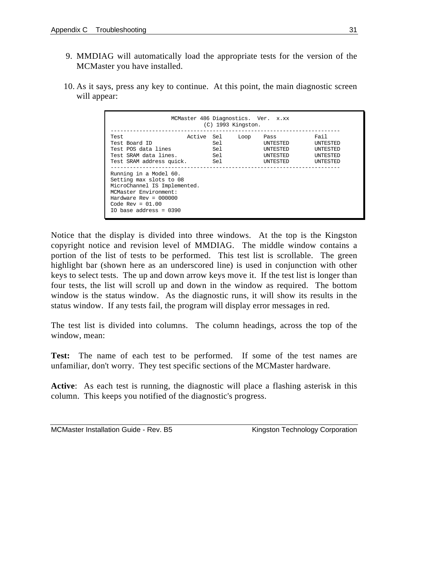- 9. MMDIAG will automatically load the appropriate tests for the version of the MCMaster you have installed.
- 10. As it says, press any key to continue. At this point, the main diagnostic screen will appear:

|                                                                                                                                                                                                                                                                                                       |            |                          | $(C)$ 1993 Kingston. | MCMaster 486 Diagnostics. Ver. x.xx                  |                                                                                  |
|-------------------------------------------------------------------------------------------------------------------------------------------------------------------------------------------------------------------------------------------------------------------------------------------------------|------------|--------------------------|----------------------|------------------------------------------------------|----------------------------------------------------------------------------------|
| Test<br>Test Board ID<br>Test POS data lines<br>Test SRAM data lines.<br>Test SRAM address quick.<br>Running in a Model 60.<br>Setting max slots to 08<br>MicroChannel IS Implemented.<br>MCMaster Environment:<br>Hardware $Rev = 000000$<br>Code Rev = $01.00$<br>$10 \text{ base address} = 0.390$ | Active Sel | Sel<br>Sel<br>Sel<br>Sel | Loop                 | Pass<br>UNTESTED<br>INTESTED<br>INTESTED<br>INTESTED | Fail<br><b>INTESTED</b><br><b>INTESTED</b><br><b>INTESTED</b><br><b>INTESTED</b> |

Notice that the display is divided into three windows. At the top is the Kingston copyright notice and revision level of MMDIAG. The middle window contains a portion of the list of tests to be performed. This test list is scrollable. The green highlight bar (shown here as an underscored line) is used in conjunction with other keys to select tests. The up and down arrow keys move it. If the test list is longer than four tests, the list will scroll up and down in the window as required. The bottom window is the status window. As the diagnostic runs, it will show its results in the status window. If any tests fail, the program will display error messages in red.

The test list is divided into columns. The column headings, across the top of the window, mean:

**Test:** The name of each test to be performed. If some of the test names are unfamiliar, don't worry. They test specific sections of the MCMaster hardware.

**Active**: As each test is running, the diagnostic will place a flashing asterisk in this column. This keeps you notified of the diagnostic's progress.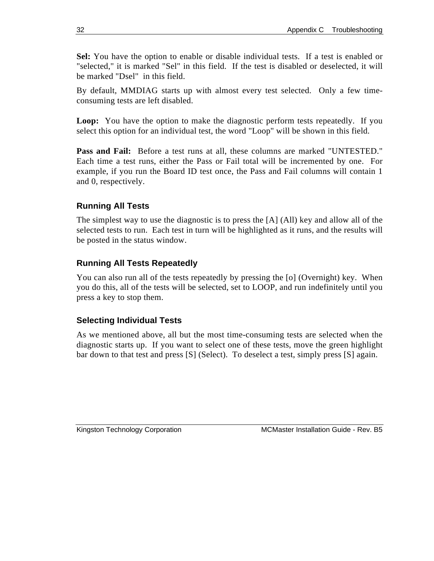**Sel:** You have the option to enable or disable individual tests. If a test is enabled or "selected," it is marked "Sel" in this field. If the test is disabled or deselected, it will be marked "Dsel" in this field.

By default, MMDIAG starts up with almost every test selected. Only a few timeconsuming tests are left disabled.

**Loop:** You have the option to make the diagnostic perform tests repeatedly. If you select this option for an individual test, the word "Loop" will be shown in this field.

**Pass and Fail:** Before a test runs at all, these columns are marked "UNTESTED." Each time a test runs, either the Pass or Fail total will be incremented by one. For example, if you run the Board ID test once, the Pass and Fail columns will contain 1 and 0, respectively.

### **Running All Tests**

The simplest way to use the diagnostic is to press the [A] (All) key and allow all of the selected tests to run. Each test in turn will be highlighted as it runs, and the results will be posted in the status window.

### **Running All Tests Repeatedly**

You can also run all of the tests repeatedly by pressing the [o] (Overnight) key. When you do this, all of the tests will be selected, set to LOOP, and run indefinitely until you press a key to stop them.

### **Selecting Individual Tests**

As we mentioned above, all but the most time-consuming tests are selected when the diagnostic starts up. If you want to select one of these tests, move the green highlight bar down to that test and press [S] (Select). To deselect a test, simply press [S] again.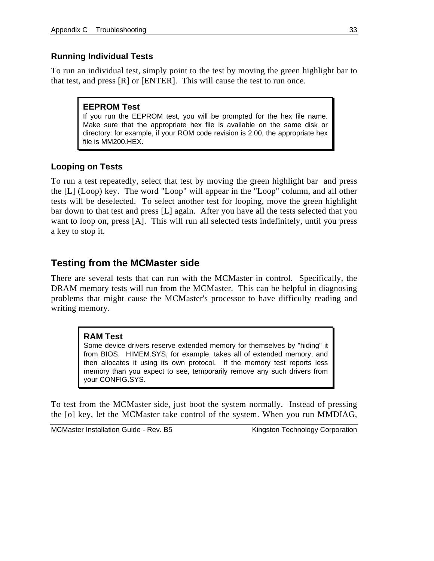### **Running Individual Tests**

To run an individual test, simply point to the test by moving the green highlight bar to that test, and press [R] or [ENTER]. This will cause the test to run once.

#### **EEPROM Test**

If you run the EEPROM test, you will be prompted for the hex file name. Make sure that the appropriate hex file is available on the same disk or directory: for example, if your ROM code revision is 2.00, the appropriate hex file is MM200.HEX.

### **Looping on Tests**

To run a test repeatedly, select that test by moving the green highlight bar and press the [L] (Loop) key. The word "Loop" will appear in the "Loop" column, and all other tests will be deselected. To select another test for looping, move the green highlight bar down to that test and press [L] again. After you have all the tests selected that you want to loop on, press [A]. This will run all selected tests indefinitely, until you press a key to stop it.

### **Testing from the MCMaster side**

There are several tests that can run with the MCMaster in control. Specifically, the DRAM memory tests will run from the MCMaster. This can be helpful in diagnosing problems that might cause the MCMaster's processor to have difficulty reading and writing memory.

#### **RAM Test**

Some device drivers reserve extended memory for themselves by "hiding" it from BIOS. HIMEM.SYS, for example, takes all of extended memory, and then allocates it using its own protocol. If the memory test reports less memory than you expect to see, temporarily remove any such drivers from your CONFIG.SYS.

To test from the MCMaster side, just boot the system normally. Instead of pressing the [o] key, let the MCMaster take control of the system. When you run MMDIAG,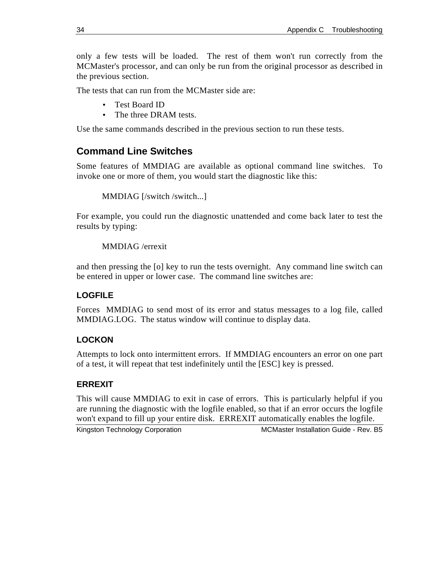only a few tests will be loaded. The rest of them won't run correctly from the MCMaster's processor, and can only be run from the original processor as described in the previous section.

The tests that can run from the MCMaster side are:

- Test Board ID
- The three DRAM tests.

Use the same commands described in the previous section to run these tests.

### **Command Line Switches**

Some features of MMDIAG are available as optional command line switches. To invoke one or more of them, you would start the diagnostic like this:

```
MMDIAG [/switch /switch...]
```
For example, you could run the diagnostic unattended and come back later to test the results by typing:

MMDIAG /errexit

and then pressing the [o] key to run the tests overnight. Any command line switch can be entered in upper or lower case. The command line switches are:

### **LOGFILE**

Forces MMDIAG to send most of its error and status messages to a log file, called MMDIAG.LOG. The status window will continue to display data.

### **LOCKON**

Attempts to lock onto intermittent errors. If MMDIAG encounters an error on one part of a test, it will repeat that test indefinitely until the [ESC] key is pressed.

### **ERREXIT**

This will cause MMDIAG to exit in case of errors. This is particularly helpful if you are running the diagnostic with the logfile enabled, so that if an error occurs the logfile won't expand to fill up your entire disk. ERREXIT automatically enables the logfile.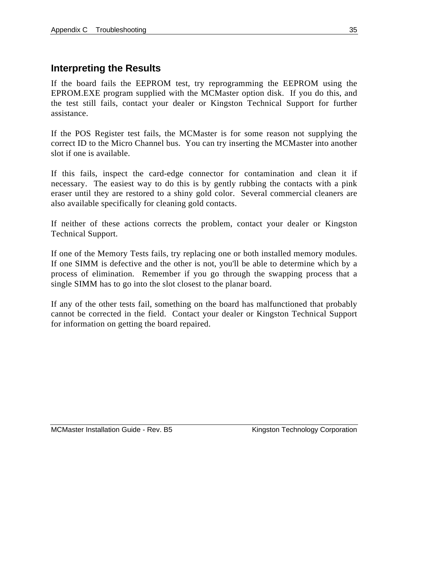### **Interpreting the Results**

If the board fails the EEPROM test, try reprogramming the EEPROM using the EPROM.EXE program supplied with the MCMaster option disk. If you do this, and the test still fails, contact your dealer or Kingston Technical Support for further assistance.

If the POS Register test fails, the MCMaster is for some reason not supplying the correct ID to the Micro Channel bus. You can try inserting the MCMaster into another slot if one is available.

If this fails, inspect the card-edge connector for contamination and clean it if necessary. The easiest way to do this is by gently rubbing the contacts with a pink eraser until they are restored to a shiny gold color. Several commercial cleaners are also available specifically for cleaning gold contacts.

If neither of these actions corrects the problem, contact your dealer or Kingston Technical Support.

If one of the Memory Tests fails, try replacing one or both installed memory modules. If one SIMM is defective and the other is not, you'll be able to determine which by a process of elimination. Remember if you go through the swapping process that a single SIMM has to go into the slot closest to the planar board.

If any of the other tests fail, something on the board has malfunctioned that probably cannot be corrected in the field. Contact your dealer or Kingston Technical Support for information on getting the board repaired.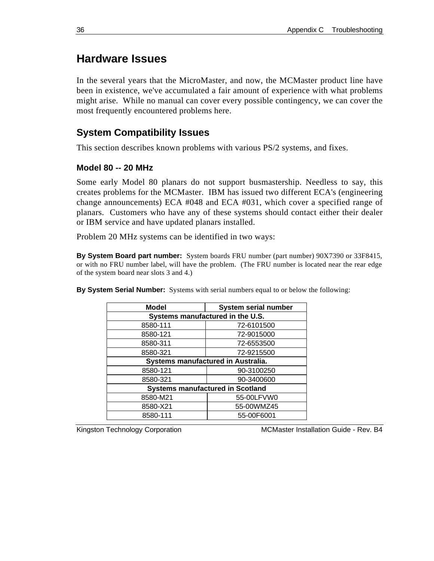### **Hardware Issues**

In the several years that the MicroMaster, and now, the MCMaster product line have been in existence, we've accumulated a fair amount of experience with what problems might arise. While no manual can cover every possible contingency, we can cover the most frequently encountered problems here.

### **System Compatibility Issues**

This section describes known problems with various PS/2 systems, and fixes.

#### **Model 80 -- 20 MHz**

Some early Model 80 planars do not support busmastership. Needless to say, this creates problems for the MCMaster. IBM has issued two different ECA's (engineering change announcements) ECA #048 and ECA #031, which cover a specified range of planars. Customers who have any of these systems should contact either their dealer or IBM service and have updated planars installed.

Problem 20 MHz systems can be identified in two ways:

**By System Board part number:** System boards FRU number (part number) 90X7390 or 33F8415, or with no FRU number label, will have the problem. (The FRU number is located near the rear edge of the system board near slots 3 and 4.)

| <b>Model</b>                            | System serial number |
|-----------------------------------------|----------------------|
| Systems manufactured in the U.S.        |                      |
| 8580-111                                | 72-6101500           |
| 8580-121                                | 72-9015000           |
| 8580-311                                | 72-6553500           |
| 8580-321                                | 72-9215500           |
| Systems manufactured in Australia.      |                      |
| 8580-121                                | 90-3100250           |
| 8580-321                                | 90-3400600           |
| <b>Systems manufactured in Scotland</b> |                      |
| 8580-M21                                | 55-00LFVW0           |
| 8580-X21                                | 55-00WMZ45           |
| 8580-111                                | 55-00F6001           |

**By System Serial Number:** Systems with serial numbers equal to or below the following: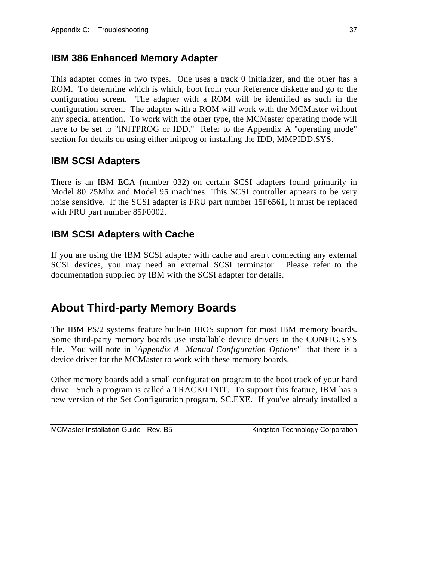### **IBM 386 Enhanced Memory Adapter**

This adapter comes in two types. One uses a track 0 initializer, and the other has a ROM. To determine which is which, boot from your Reference diskette and go to the configuration screen. The adapter with a ROM will be identified as such in the configuration screen. The adapter with a ROM will work with the MCMaster without any special attention. To work with the other type, the MCMaster operating mode will have to be set to "INITPROG or IDD." Refer to the Appendix A "operating mode" section for details on using either initprog or installing the IDD, MMPIDD.SYS.

### **IBM SCSI Adapters**

There is an IBM ECA (number 032) on certain SCSI adapters found primarily in Model 80 25Mhz and Model 95 machines This SCSI controller appears to be very noise sensitive. If the SCSI adapter is FRU part number 15F6561, it must be replaced with FRU part number 85F0002.

### **IBM SCSI Adapters with Cache**

If you are using the IBM SCSI adapter with cache and aren't connecting any external SCSI devices, you may need an external SCSI terminator. Please refer to the documentation supplied by IBM with the SCSI adapter for details.

### **About Third-party Memory Boards**

The IBM PS/2 systems feature built-in BIOS support for most IBM memory boards. Some third-party memory boards use installable device drivers in the CONFIG.SYS file. You will note in *"Appendix A Manual Configuration Options"* that there is a device driver for the MCMaster to work with these memory boards.

Other memory boards add a small configuration program to the boot track of your hard drive. Such a program is called a TRACK0 INIT. To support this feature, IBM has a new version of the Set Configuration program, SC.EXE. If you've already installed a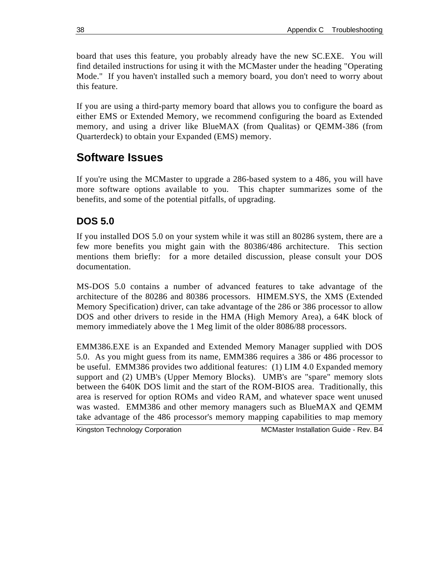board that uses this feature, you probably already have the new SC.EXE. You will find detailed instructions for using it with the MCMaster under the heading "Operating Mode." If you haven't installed such a memory board, you don't need to worry about this feature.

If you are using a third-party memory board that allows you to configure the board as either EMS or Extended Memory, we recommend configuring the board as Extended memory, and using a driver like BlueMAX (from Qualitas) or QEMM-386 (from Quarterdeck) to obtain your Expanded (EMS) memory.

### **Software Issues**

If you're using the MCMaster to upgrade a 286-based system to a 486, you will have more software options available to you. This chapter summarizes some of the benefits, and some of the potential pitfalls, of upgrading.

### **DOS 5.0**

If you installed DOS 5.0 on your system while it was still an 80286 system, there are a few more benefits you might gain with the 80386/486 architecture. This section mentions them briefly: for a more detailed discussion, please consult your DOS documentation.

MS-DOS 5.0 contains a number of advanced features to take advantage of the architecture of the 80286 and 80386 processors. HIMEM.SYS, the XMS (Extended Memory Specification) driver, can take advantage of the 286 or 386 processor to allow DOS and other drivers to reside in the HMA (High Memory Area), a 64K block of memory immediately above the 1 Meg limit of the older 8086/88 processors.

EMM386.EXE is an Expanded and Extended Memory Manager supplied with DOS 5.0. As you might guess from its name, EMM386 requires a 386 or 486 processor to be useful. EMM386 provides two additional features: (1) LIM 4.0 Expanded memory support and (2) UMB's (Upper Memory Blocks). UMB's are "spare" memory slots between the 640K DOS limit and the start of the ROM-BIOS area. Traditionally, this area is reserved for option ROMs and video RAM, and whatever space went unused was wasted. EMM386 and other memory managers such as BlueMAX and QEMM take advantage of the 486 processor's memory mapping capabilities to map memory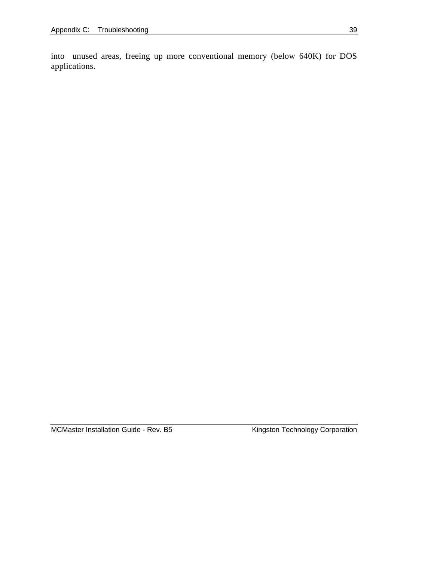into unused areas, freeing up more conventional memory (below 640K) for DOS applications.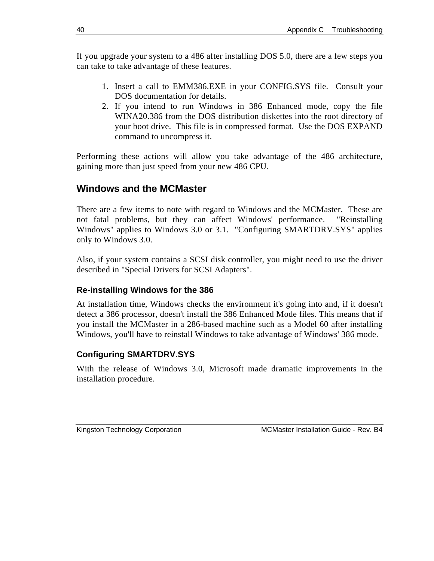If you upgrade your system to a 486 after installing DOS 5.0, there are a few steps you can take to take advantage of these features.

- 1. Insert a call to EMM386.EXE in your CONFIG.SYS file. Consult your DOS documentation for details.
- 2. If you intend to run Windows in 386 Enhanced mode, copy the file WINA20.386 from the DOS distribution diskettes into the root directory of your boot drive. This file is in compressed format. Use the DOS EXPAND command to uncompress it.

Performing these actions will allow you take advantage of the 486 architecture, gaining more than just speed from your new 486 CPU.

### **Windows and the MCMaster**

There are a few items to note with regard to Windows and the MCMaster. These are not fatal problems, but they can affect Windows' performance. "Reinstalling Windows" applies to Windows 3.0 or 3.1. "Configuring SMARTDRV.SYS" applies only to Windows 3.0.

Also, if your system contains a SCSI disk controller, you might need to use the driver described in "Special Drivers for SCSI Adapters".

#### **Re-installing Windows for the 386**

At installation time, Windows checks the environment it's going into and, if it doesn't detect a 386 processor, doesn't install the 386 Enhanced Mode files. This means that if you install the MCMaster in a 286-based machine such as a Model 60 after installing Windows, you'll have to reinstall Windows to take advantage of Windows' 386 mode.

#### **Configuring SMARTDRV.SYS**

With the release of Windows 3.0, Microsoft made dramatic improvements in the installation procedure.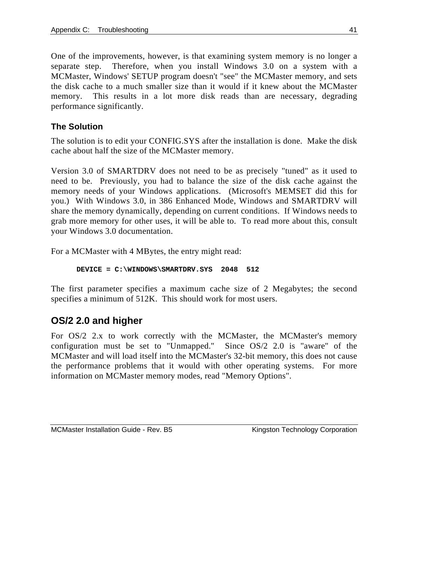One of the improvements, however, is that examining system memory is no longer a separate step. Therefore, when you install Windows 3.0 on a system with a MCMaster, Windows' SETUP program doesn't "see" the MCMaster memory, and sets the disk cache to a much smaller size than it would if it knew about the MCMaster memory. This results in a lot more disk reads than are necessary, degrading performance significantly.

### **The Solution**

The solution is to edit your CONFIG.SYS after the installation is done. Make the disk cache about half the size of the MCMaster memory.

Version 3.0 of SMARTDRV does not need to be as precisely "tuned" as it used to need to be. Previously, you had to balance the size of the disk cache against the memory needs of your Windows applications. (Microsoft's MEMSET did this for you.) With Windows 3.0, in 386 Enhanced Mode, Windows and SMARTDRV will share the memory dynamically, depending on current conditions. If Windows needs to grab more memory for other uses, it will be able to. To read more about this, consult your Windows 3.0 documentation.

For a MCMaster with 4 MBytes, the entry might read:

```
DEVICE = C:\WINDOWS\SMARTDRV.SYS 2048 512
```
The first parameter specifies a maximum cache size of 2 Megabytes; the second specifies a minimum of 512K. This should work for most users.

### **OS/2 2.0 and higher**

For OS/2 2.x to work correctly with the MCMaster, the MCMaster's memory configuration must be set to "Unmapped." Since OS/2 2.0 is "aware" of the MCMaster and will load itself into the MCMaster's 32-bit memory, this does not cause the performance problems that it would with other operating systems. For more information on MCMaster memory modes, read "Memory Options".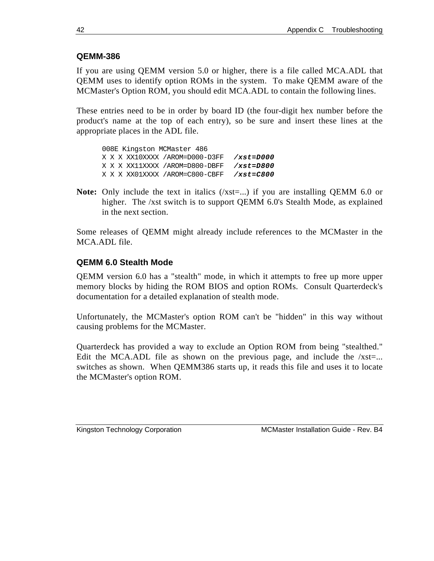### **QEMM-386**

If you are using QEMM version 5.0 or higher, there is a file called MCA.ADL that QEMM uses to identify option ROMs in the system. To make QEMM aware of the MCMaster's Option ROM, you should edit MCA.ADL to contain the following lines.

These entries need to be in order by board ID (the four-digit hex number before the product's name at the top of each entry), so be sure and insert these lines at the appropriate places in the ADL file.

008E Kingston MCMaster 486 X X X XX10XXXX /AROM=D000-D3FF */xst=D000* X X X XX11XXXX /AROM=D800-DBFF */xst=D800* X X X XX01XXXX /AROM=C800-CBFF */xst=C800*

**Note:** Only include the text in italics (/xst=...) if you are installing QEMM 6.0 or higher. The /xst switch is to support QEMM 6.0's Stealth Mode, as explained in the next section.

Some releases of QEMM might already include references to the MCMaster in the MCA.ADL file.

#### **QEMM 6.0 Stealth Mode**

QEMM version 6.0 has a "stealth" mode, in which it attempts to free up more upper memory blocks by hiding the ROM BIOS and option ROMs. Consult Quarterdeck's documentation for a detailed explanation of stealth mode.

Unfortunately, the MCMaster's option ROM can't be "hidden" in this way without causing problems for the MCMaster.

Quarterdeck has provided a way to exclude an Option ROM from being "stealthed." Edit the MCA.ADL file as shown on the previous page, and include the  $/xst=...$ switches as shown. When QEMM386 starts up, it reads this file and uses it to locate the MCMaster's option ROM.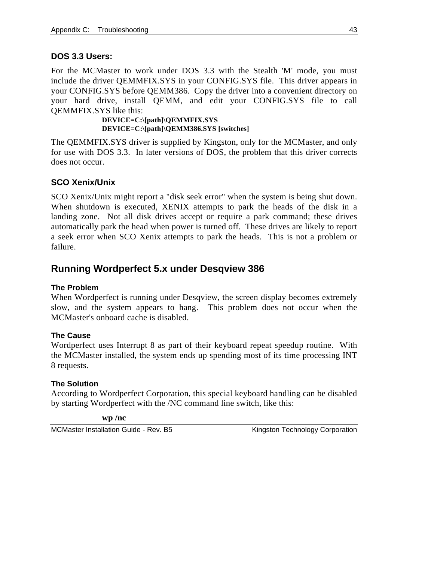### **DOS 3.3 Users:**

For the MCMaster to work under DOS 3.3 with the Stealth 'M' mode, you must include the driver QEMMFIX.SYS in your CONFIG.SYS file. This driver appears in your CONFIG.SYS before QEMM386. Copy the driver into a convenient directory on your hard drive, install QEMM, and edit your CONFIG.SYS file to call QEMMFIX.SYS like this:

> **DEVICE=C:\[path]\QEMMFIX.SYS DEVICE=C:\[path]\QEMM386.SYS [switches]**

The QEMMFIX.SYS driver is supplied by Kingston, only for the MCMaster, and only for use with DOS 3.3. In later versions of DOS, the problem that this driver corrects does not occur.

### **SCO Xenix/Unix**

SCO Xenix/Unix might report a "disk seek error" when the system is being shut down. When shutdown is executed, XENIX attempts to park the heads of the disk in a landing zone. Not all disk drives accept or require a park command; these drives automatically park the head when power is turned off. These drives are likely to report a seek error when SCO Xenix attempts to park the heads. This is not a problem or failure.

### **Running Wordperfect 5.x under Desqview 386**

#### **The Problem**

When Wordperfect is running under Desqview, the screen display becomes extremely slow, and the system appears to hang. This problem does not occur when the MCMaster's onboard cache is disabled.

#### **The Cause**

Wordperfect uses Interrupt 8 as part of their keyboard repeat speedup routine. With the MCMaster installed, the system ends up spending most of its time processing INT 8 requests.

#### **The Solution**

According to Wordperfect Corporation, this special keyboard handling can be disabled by starting Wordperfect with the /NC command line switch, like this:

**wp /nc**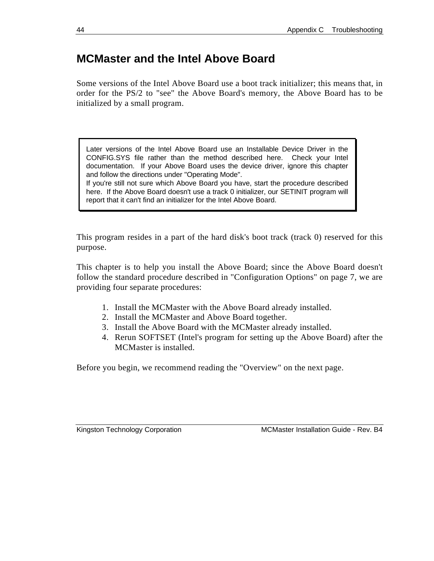### **MCMaster and the Intel Above Board**

Some versions of the Intel Above Board use a boot track initializer; this means that, in order for the PS/2 to "see" the Above Board's memory, the Above Board has to be initialized by a small program.

Later versions of the Intel Above Board use an Installable Device Driver in the CONFIG.SYS file rather than the method described here. Check your Intel documentation. If your Above Board uses the device driver, ignore this chapter and follow the directions under "Operating Mode". If you're still not sure which Above Board you have, start the procedure described

here. If the Above Board doesn't use a track 0 initializer, our SETINIT program will report that it can't find an initializer for the Intel Above Board.

This program resides in a part of the hard disk's boot track (track 0) reserved for this purpose.

This chapter is to help you install the Above Board; since the Above Board doesn't follow the standard procedure described in "Configuration Options" on page 7, we are providing four separate procedures:

- 1. Install the MCMaster with the Above Board already installed.
- 2. Install the MCMaster and Above Board together.
- 3. Install the Above Board with the MCMaster already installed.
- 4. Rerun SOFTSET (Intel's program for setting up the Above Board) after the MCMaster is installed.

Before you begin, we recommend reading the "Overview" on the next page.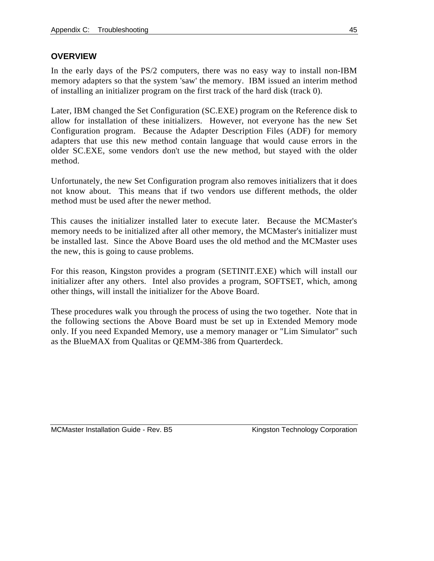### **OVERVIEW**

In the early days of the PS/2 computers, there was no easy way to install non-IBM memory adapters so that the system 'saw' the memory. IBM issued an interim method of installing an initializer program on the first track of the hard disk (track 0).

Later, IBM changed the Set Configuration (SC.EXE) program on the Reference disk to allow for installation of these initializers. However, not everyone has the new Set Configuration program. Because the Adapter Description Files (ADF) for memory adapters that use this new method contain language that would cause errors in the older SC.EXE, some vendors don't use the new method, but stayed with the older method.

Unfortunately, the new Set Configuration program also removes initializers that it does not know about. This means that if two vendors use different methods, the older method must be used after the newer method.

This causes the initializer installed later to execute later. Because the MCMaster's memory needs to be initialized after all other memory, the MCMaster's initializer must be installed last. Since the Above Board uses the old method and the MCMaster uses the new, this is going to cause problems.

For this reason, Kingston provides a program (SETINIT.EXE) which will install our initializer after any others. Intel also provides a program, SOFTSET, which, among other things, will install the initializer for the Above Board.

These procedures walk you through the process of using the two together. Note that in the following sections the Above Board must be set up in Extended Memory mode only. If you need Expanded Memory, use a memory manager or "Lim Simulator" such as the BlueMAX from Qualitas or QEMM-386 from Quarterdeck.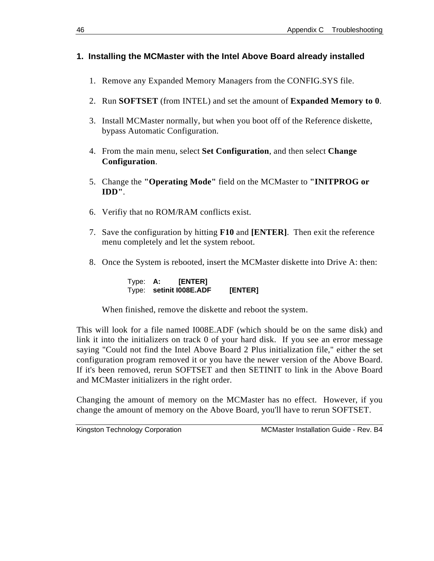### **1. Installing the MCMaster with the Intel Above Board already installed**

- 1. Remove any Expanded Memory Managers from the CONFIG.SYS file.
- 2. Run **SOFTSET** (from INTEL) and set the amount of **Expanded Memory to 0**.
- 3. Install MCMaster normally, but when you boot off of the Reference diskette, bypass Automatic Configuration.
- 4. From the main menu, select **Set Configuration**, and then select **Change Configuration**.
- 5. Change the **"Operating Mode"** field on the MCMaster to **"INITPROG or IDD"**.
- 6. Verifiy that no ROM/RAM conflicts exist.
- 7. Save the configuration by hitting **F10** and **[ENTER]**. Then exit the reference menu completely and let the system reboot.
- 8. Once the System is rebooted, insert the MCMaster diskette into Drive A: then:

Type: **A: [ENTER]** Type: **setinit I008E.ADF [ENTER]**

When finished, remove the diskette and reboot the system.

This will look for a file named I008E.ADF (which should be on the same disk) and link it into the initializers on track 0 of your hard disk. If you see an error message saying "Could not find the Intel Above Board 2 Plus initialization file," either the set configuration program removed it or you have the newer version of the Above Board. If it's been removed, rerun SOFTSET and then SETINIT to link in the Above Board and MCMaster initializers in the right order.

Changing the amount of memory on the MCMaster has no effect. However, if you change the amount of memory on the Above Board, you'll have to rerun SOFTSET.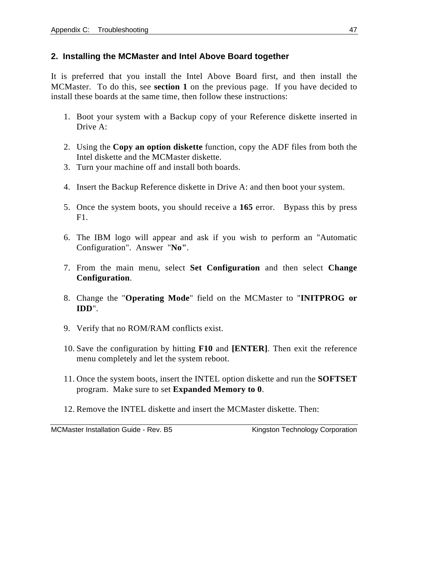### **2. Installing the MCMaster and Intel Above Board together**

It is preferred that you install the Intel Above Board first, and then install the MCMaster. To do this, see **section 1** on the previous page. If you have decided to install these boards at the same time, then follow these instructions:

- 1. Boot your system with a Backup copy of your Reference diskette inserted in Drive A:
- 2. Using the **Copy an option diskette** function, copy the ADF files from both the Intel diskette and the MCMaster diskette.
- 3. Turn your machine off and install both boards.
- 4. Insert the Backup Reference diskette in Drive A: and then boot your system.
- 5. Once the system boots, you should receive a **165** error. Bypass this by press  $F1$ .
- 6. The IBM logo will appear and ask if you wish to perform an "Automatic Configuration". Answer "**No"**.
- 7. From the main menu, select **Set Configuration** and then select **Change Configuration**.
- 8. Change the "**Operating Mode**" field on the MCMaster to "**INITPROG or IDD**".
- 9. Verify that no ROM/RAM conflicts exist.
- 10. Save the configuration by hitting **F10** and **[ENTER]**. Then exit the reference menu completely and let the system reboot.
- 11. Once the system boots, insert the INTEL option diskette and run the **SOFTSET** program. Make sure to set **Expanded Memory to 0**.
- 12. Remove the INTEL diskette and insert the MCMaster diskette. Then: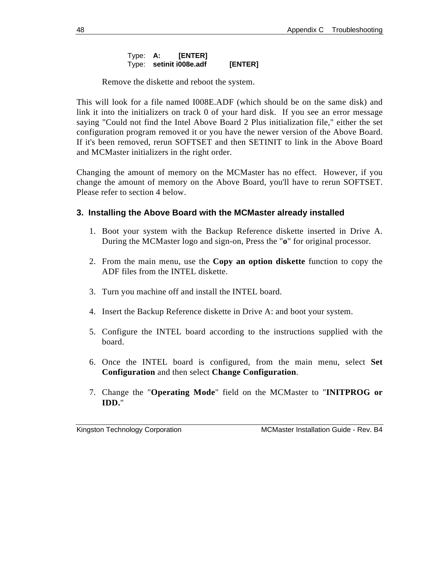#### Type: **A: [ENTER]** Type: **setinit i008e.adf [ENTER]**

Remove the diskette and reboot the system.

This will look for a file named I008E.ADF (which should be on the same disk) and link it into the initializers on track 0 of your hard disk. If you see an error message saying "Could not find the Intel Above Board 2 Plus initialization file," either the set configuration program removed it or you have the newer version of the Above Board. If it's been removed, rerun SOFTSET and then SETINIT to link in the Above Board and MCMaster initializers in the right order.

Changing the amount of memory on the MCMaster has no effect. However, if you change the amount of memory on the Above Board, you'll have to rerun SOFTSET. Please refer to section 4 below.

### **3. Installing the Above Board with the MCMaster already installed**

- 1. Boot your system with the Backup Reference diskette inserted in Drive A. During the MCMaster logo and sign-on, Press the "**o**" for original processor.
- 2. From the main menu, use the **Copy an option diskette** function to copy the ADF files from the INTEL diskette.
- 3. Turn you machine off and install the INTEL board.
- 4. Insert the Backup Reference diskette in Drive A: and boot your system.
- 5. Configure the INTEL board according to the instructions supplied with the board.
- 6. Once the INTEL board is configured, from the main menu, select **Set Configuration** and then select **Change Configuration**.
- 7. Change the "**Operating Mode**" field on the MCMaster to "**INITPROG or IDD.**"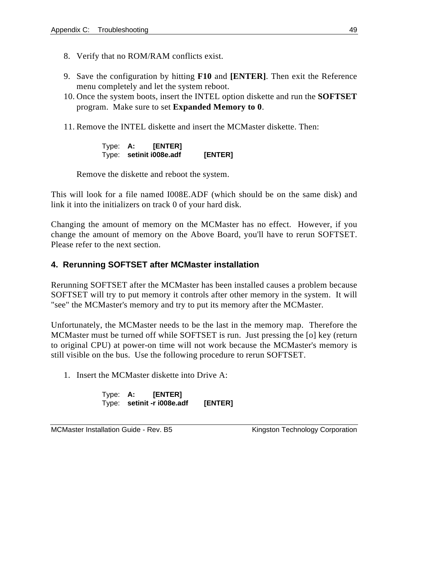- 8. Verify that no ROM/RAM conflicts exist.
- 9. Save the configuration by hitting **F10** and **[ENTER]**. Then exit the Reference menu completely and let the system reboot.
- 10. Once the system boots, insert the INTEL option diskette and run the **SOFTSET** program. Make sure to set **Expanded Memory to 0**.
- 11. Remove the INTEL diskette and insert the MCMaster diskette. Then:

Type: **A: [ENTER]** Type: **setinit i008e.adf [ENTER]**

Remove the diskette and reboot the system.

This will look for a file named I008E.ADF (which should be on the same disk) and link it into the initializers on track 0 of your hard disk.

Changing the amount of memory on the MCMaster has no effect. However, if you change the amount of memory on the Above Board, you'll have to rerun SOFTSET. Please refer to the next section.

#### **4. Rerunning SOFTSET after MCMaster installation**

Rerunning SOFTSET after the MCMaster has been installed causes a problem because SOFTSET will try to put memory it controls after other memory in the system. It will "see" the MCMaster's memory and try to put its memory after the MCMaster.

Unfortunately, the MCMaster needs to be the last in the memory map. Therefore the MCMaster must be turned off while SOFTSET is run. Just pressing the [o] key (return to original CPU) at power-on time will not work because the MCMaster's memory is still visible on the bus. Use the following procedure to rerun SOFTSET.

1. Insert the MCMaster diskette into Drive A:

Type: **A: [ENTER]** Type: **setinit -r i008e.adf [ENTER]**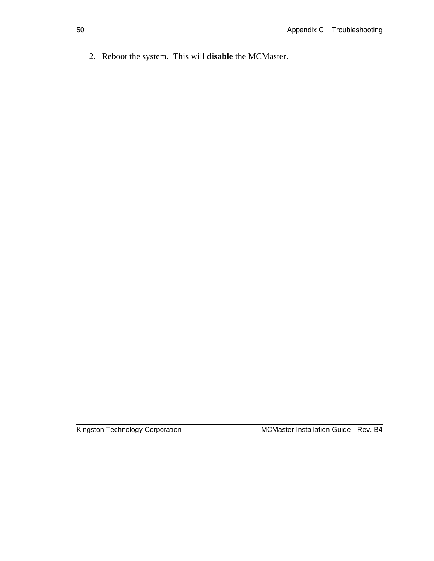2. Reboot the system. This will **disable** the MCMaster.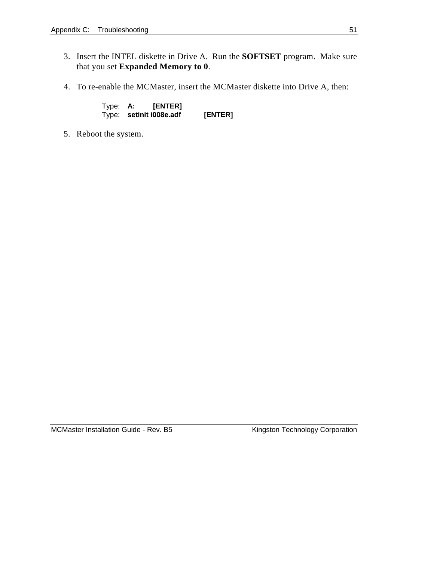- 3. Insert the INTEL diskette in Drive A. Run the **SOFTSET** program. Make sure that you set **Expanded Memory to 0**.
- 4. To re-enable the MCMaster, insert the MCMaster diskette into Drive A, then:

Type: **A: [ENTER]** Type: **setinit i008e.adf [ENTER]**

5. Reboot the system.